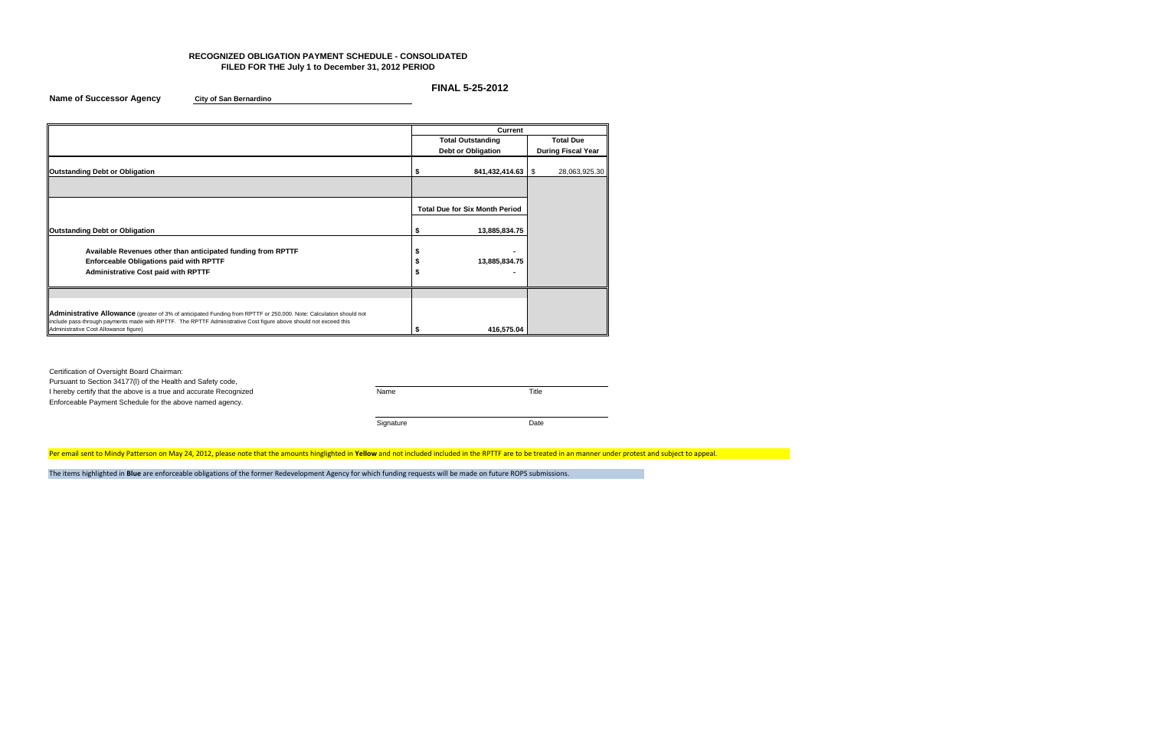### **RECOGNIZED OBLIGATION PAYMENT SCHEDULE - CONSOLIDATED FILED FOR THE July 1 to December 31, 2012 PERIOD**

## **FINAL 5-25-2012**

**Name of Successor Agency City of San Bernardino**

Certification of Oversight Board Chairman: Pursuant to Section 34177(l) of the Health and Safety code, I hereby certify that the above is a true and accurate Recognized Name Name Name Title Enforceable Payment Schedule for the above named agency. Signature Date

Per email sent to Mindy Patterson on May 24, 2012, please note that the amounts hinglighted in Yellow and not included included in the RPTTF are to be treated in an manner under protest and subject to appeal.

|                                                                                                                                                           | Current |                                       |    |                           |  |  |  |  |
|-----------------------------------------------------------------------------------------------------------------------------------------------------------|---------|---------------------------------------|----|---------------------------|--|--|--|--|
|                                                                                                                                                           |         | <b>Total Outstanding</b>              |    | <b>Total Due</b>          |  |  |  |  |
|                                                                                                                                                           |         | Debt or Obligation                    |    | <b>During Fiscal Year</b> |  |  |  |  |
| <b>Outstanding Debt or Obligation</b>                                                                                                                     |         | 841,432,414.63                        | \$ | 28,063,925.30             |  |  |  |  |
|                                                                                                                                                           |         |                                       |    |                           |  |  |  |  |
|                                                                                                                                                           |         | <b>Total Due for Six Month Period</b> |    |                           |  |  |  |  |
| <b>Outstanding Debt or Obligation</b>                                                                                                                     | S       | 13,885,834.75                         |    |                           |  |  |  |  |
| Available Revenues other than anticipated funding from RPTTF                                                                                              |         |                                       |    |                           |  |  |  |  |
| Enforceable Obligations paid with RPTTF                                                                                                                   |         | 13,885,834.75                         |    |                           |  |  |  |  |
| <b>Administrative Cost paid with RPTTF</b>                                                                                                                |         |                                       |    |                           |  |  |  |  |
|                                                                                                                                                           |         |                                       |    |                           |  |  |  |  |
| Administrative Allowance (greater of 3% of anticipated Funding from RPTTF or 250,000. Note: Calculation should not                                        |         |                                       |    |                           |  |  |  |  |
| include pass-through payments made with RPTTF. The RPTTF Administrative Cost figure above should not exceed this<br>Administrative Cost Allowance figure) |         |                                       |    |                           |  |  |  |  |
|                                                                                                                                                           |         | 416,575.04                            |    |                           |  |  |  |  |

The items highlighted in **Blue** are enforceable obligations of the former Redevelopment Agency for which funding requests will be made on future ROPS submissions.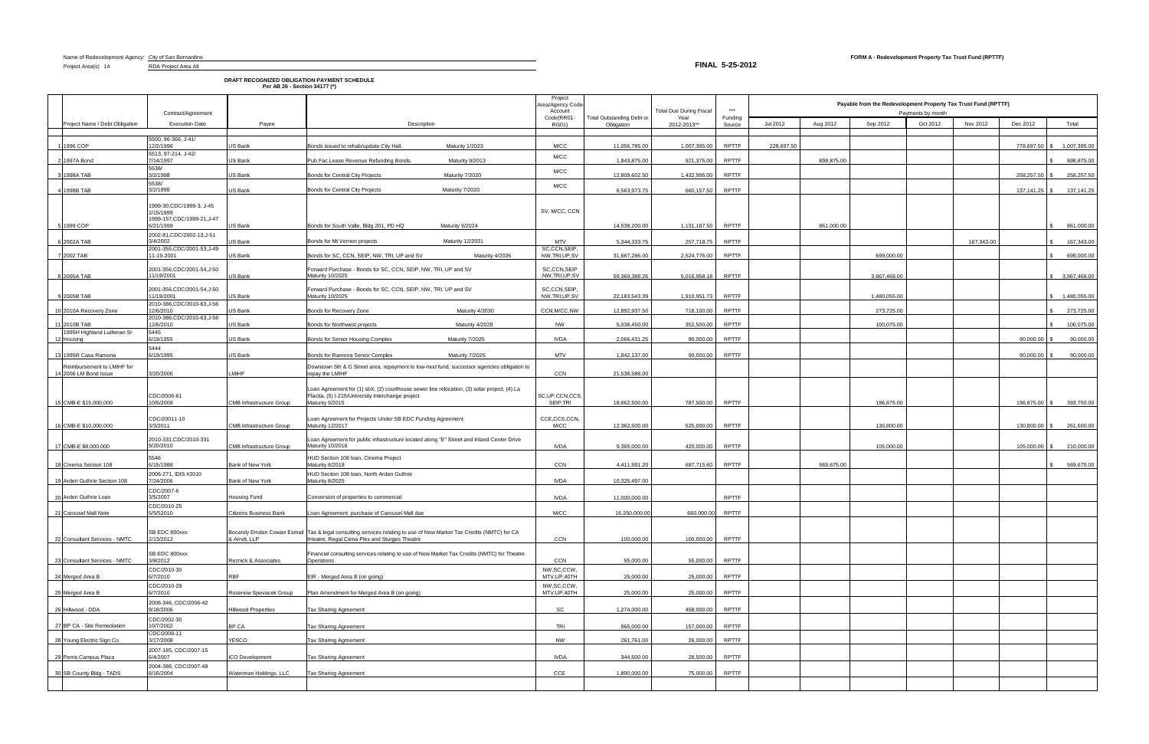Project Area(s) 14 RDA Project Area All

**DRAFT RECOGNIZED OBLIGATION PAYMENT SCHEDULE Per AB 26 - Section 34177 (\*)**

**FINAL 5-25-2012**

|              |                                | Contract/Agreement                        |                                 |                                                                                                                                                                        |                 | Project<br>Area/Agency Code<br>Account |                                                | <b>Total Due During Fiscal</b> | $***$             | Payable from the Redevelopment Property Tax Trust Fund (RPTTF)<br>Payments by month |            |              |          |            |                 |              |
|--------------|--------------------------------|-------------------------------------------|---------------------------------|------------------------------------------------------------------------------------------------------------------------------------------------------------------------|-----------------|----------------------------------------|------------------------------------------------|--------------------------------|-------------------|-------------------------------------------------------------------------------------|------------|--------------|----------|------------|-----------------|--------------|
|              | Project Name / Debt Obligation | <b>Execution Date</b>                     | Payee                           | Description                                                                                                                                                            |                 | Code(RR01<br><b>RG01)</b>              | <b>Total Outstanding Debt or</b><br>Obligation | Year<br>2012-2013**            | Funding<br>Source | Jul 2012                                                                            | Aug 2012   | Sep 2012     | Oct 2012 | Nov 2012   | Dec 2012        | Total        |
|              |                                | 5500, 96-366, J-41/                       |                                 |                                                                                                                                                                        |                 |                                        |                                                |                                |                   |                                                                                     |            |              |          |            |                 |              |
|              | 1996 COP                       | 12/2/1996                                 | US Bank                         | Maturity 1/2023<br>Bonds issued to rehab/update City Hall                                                                                                              |                 | M/CC                                   | 11.056.785.00                                  | 1.007.395.00                   | <b>RPTTF</b>      | 228.697.50                                                                          |            |              |          |            | 778.697.50      | 1,007,395.00 |
|              | 1997A Bond                     | 5513, 97-214, J-42/<br>7/14/1997<br>5538/ | US Bank                         | Pub Fac Lease Revenue Refunding Bonds.<br>Maturity 9/2013                                                                                                              |                 | M/CC                                   | 1,843,875.00                                   | 921,375.00                     | <b>RPTTF</b>      |                                                                                     | 898,875.00 |              |          |            |                 | 898,875.00   |
|              | 1998A TAB                      | 3/2/1998                                  | US Bank                         | <b>Bonds for Central City Projects</b><br>Maturity 7/2020                                                                                                              |                 | M/CC                                   | 12,809,602.50                                  | 1,432,995.00                   | <b>RPTTF</b>      |                                                                                     |            |              |          |            | 258,257.50      | 258,257.50   |
|              | 4 1998B TAB                    | 5538/<br>3/2/1998                         | JS Bank                         | <b>Bonds for Central City Projects</b><br>Maturity 7/2020                                                                                                              |                 | M/CC                                   | 6,563,973.75                                   | 660,157.50                     | <b>RPTTF</b>      |                                                                                     |            |              |          |            | 137, 141. 25 \$ | 137,141.25   |
|              |                                | 1999-30, CDC/1999-3, J-45                 |                                 |                                                                                                                                                                        |                 |                                        |                                                |                                |                   |                                                                                     |            |              |          |            |                 |              |
|              |                                | 2/15/1999<br>1999-157.CDC/1999-21.J-47    |                                 |                                                                                                                                                                        |                 | SV, M/CC, CCN                          |                                                |                                |                   |                                                                                     |            |              |          |            |                 |              |
|              | 1999 COP                       | 6/21/1999<br>2002-81, CDC/2002-13, J-51   | US Bank                         | Bonds for South Valle, Bldg 201, PD HQ<br>Maturity 9/2024                                                                                                              |                 |                                        | 14.538.200.00                                  | 1,131,187.50                   | <b>RPTTF</b>      |                                                                                     | 861.000.00 |              |          |            |                 | 861,000.00   |
|              | 6 2002A TAB                    | 3/4/2002<br>2001-355, CDC/2001-53, J-49   | JS Bank                         | Bonds for Mt Vernon projects<br>Maturity 12/2031                                                                                                                       |                 | <b>MTV</b><br>SC,CCN,SEIP              | 5.344.333.75                                   | 257,718.75                     | <b>RPTTF</b>      |                                                                                     |            |              |          | 167,343.00 |                 | 167,343.00   |
|              | 7 2002 TAB                     | 11-19-2001<br>2001-356, CDC/2001-54, J-50 | US Bank                         | Bonds for SC, CCN, SEIP, NW, TRI, UP and SV                                                                                                                            | Maturity 4/2026 | NW, TRI, UP, SV<br>SC,CCN,SEIP         | 31,667,286.00                                  | 2,524,776.00                   | RPTTF             |                                                                                     |            | 699,000.00   |          |            |                 | 699,000.00   |
|              | 3 2005A TAB                    | 1/19/2001                                 | JS Bank                         | Forward Purchase - Bonds for SC, CCN, SEIP, NW, TRI, UP and SV<br>Maturity 10/2025                                                                                     |                 | ,NW,TRI,UP,SV                          | 59.369.388.2                                   | 5,016,958.18                   | RPTTF             |                                                                                     |            | 3,867,468.00 |          |            |                 | 3,867,468.00 |
|              | 2005B TAB                      | 2001-356, CDC/2001-54, J-50<br>1/19/2001  | US Bank                         | Forward Purchase - Bonds for SC, CCN, SEIP, NW, TRI, UP and SV<br>Maturity 10/2025                                                                                     |                 | SC.CCN,SEIP,<br>NW, TRI, UP, SV        | 22,183,543.39                                  | 1,910,951.73                   | <b>RPTTF</b>      |                                                                                     |            | 1,480,055.00 |          |            |                 | 1,480,055.00 |
|              | 10 2010A Recovery Zone         | 2010-386, CDC/2010-63, J-56<br>2/6/2010   | US Bank                         | Maturity 4/2030<br>Bonds for Recovery Zone                                                                                                                             |                 | CCN, M/CC, NW                          | 12,892,937.50                                  | 718,100.00                     | <b>RPTTF</b>      |                                                                                     |            | 273,725.00   |          |            |                 | 273,725.00   |
| 11 2010B TAB |                                | 2010-386, CDC/2010-63, J-56<br>12/6/2010  | JS Bank                         | Maturity 4/2028<br>Bonds for Northwest projects                                                                                                                        |                 | NW                                     | 5,038,450.00                                   | 352,500.00                     | <b>RPTTF</b>      |                                                                                     |            | 100,075.00   |          |            |                 | 100,075.00   |
| 12 Housing   | 1995H Highland Lutheran Sr     | 5445<br>6/19/1955                         | JS Bank                         | Bonds for Senior Housing Complex<br>Maturity 7/2025                                                                                                                    |                 | <b>IVDA</b>                            | 2,066,431.25                                   | 90,000.00                      | <b>RPTTF</b>      |                                                                                     |            |              |          |            | 90,000.00       | 90,000.00    |
|              | 13 1995R Casa Ramona           | 5444<br>6/19/1995                         | US Bank                         | Bonds for Ramona Senior Complex<br>Maturity 7/2025                                                                                                                     |                 | <b>MTV</b>                             | 1.842.137.00                                   | 90,000.00                      | <b>RPTTF</b>      |                                                                                     |            |              |          |            | 90,000,00       | 90,000.00    |
|              | Reimbursement to LMIHF for     |                                           |                                 | Downtown 5th & G Street area, repayment to low-mod fund, successor agencies obligation to                                                                              |                 |                                        |                                                |                                |                   |                                                                                     |            |              |          |            |                 |              |
|              | 14 2006 LM Bond Issue          | 3/20/2006                                 | <b>MIHF</b>                     | repay the LMIHF                                                                                                                                                        |                 | CCN                                    | 21,538,588.00                                  |                                |                   |                                                                                     |            |              |          |            |                 |              |
|              | 15 CMB-E \$15,000,000          | CDC/2006-61<br>10/5/2009                  | <b>CMB Infrastructure Group</b> | Loan Agreement for (1) sbX, (2) courthouse sewer line relocation, (3) solar project, (4) La<br>Placita, (5) I-215/University interchange project<br>Maturity 9/2015    |                 | SC, UP, CCN, CCS<br>SEIP,TRI           | 18,662,500.00                                  | 787,500.00                     | <b>RPTTF</b>      |                                                                                     |            | 196,875.00   |          |            | 196,875.00 \$   | 393,750.00   |
|              |                                | CDC/20011-10                              |                                 | Loan Agreement for Projects Under SB EDC Funding Agreement                                                                                                             |                 | CCE,CCS,CCN,                           |                                                |                                |                   |                                                                                     |            |              |          |            |                 |              |
|              | 16 CMB-E \$10,000,000          | 3/3/2011                                  | <b>CMB Infrastructure Group</b> | Maturity 12/2017                                                                                                                                                       |                 | M/CC                                   | 12,362,500.00                                  | 525,000.00                     | <b>RPTTF</b>      |                                                                                     |            | 130,800.00   |          |            | 130.800.00      | 261,600.00   |
|              | 17 CMB-E \$8,000,000           | 2010-331, CDC/2010-331<br>9/20/2010       | <b>CMB Infrastructure Group</b> | Loan Agreement for public infrastructure located along "E" Street and Inland Center Drive<br>Maturity 10/2016                                                          |                 | <b>IVDA</b>                            | 9,365,000.00                                   | 420,000.00                     | <b>RPTTF</b>      |                                                                                     |            | 105,000.00   |          |            | 105,000.00      | 210,000.00   |
|              | 18 Cinema Section 108          | 5546<br>6/15/1988                         | Bank of New York                | HUD Section 108 Ioan, Cinema Project<br>Maturity 8/2018                                                                                                                |                 | CCN                                    | 4.411.591.20                                   | 687.715.60                     | <b>RPTTF</b>      |                                                                                     | 569.675.00 |              |          |            |                 | 569,675.00   |
|              | 19 Arden Guthrie Section 108   | 2006-271, IDIS #2010<br>7/24/2006         | Bank of New York                | HUD Section 108 Ioan, North Arden Guthrie<br>Maturity 8/2025                                                                                                           |                 | <b>IVDA</b>                            | 10.325.497.00                                  |                                |                   |                                                                                     |            |              |          |            |                 |              |
|              | 20 Arden Guthrie Loan          | CDC/2007-6<br>3/5/2007                    | Housing Fund                    | Conversion of properties to commercia                                                                                                                                  |                 | <b>IVDA</b>                            | 11,000,000.00                                  |                                | <b>RPTTF</b>      |                                                                                     |            |              |          |            |                 |              |
|              |                                | CDC/2010-25                               |                                 |                                                                                                                                                                        |                 |                                        |                                                |                                |                   |                                                                                     |            |              |          |            |                 |              |
|              | 21 Carousel Mall Note          | 5/5/52010                                 | <b>Citizens Business Bank</b>   | Loan Agreement, purchase of Carousel Mall due                                                                                                                          |                 | M/CC                                   | 16,250,000.00                                  | 660,000.00                     | <b>RPTTF</b>      |                                                                                     |            |              |          |            |                 |              |
|              | 22 Consultant Services - NMTC  | SB EDC 800xxx<br>2/13/2012                | & Arndt, LLP                    | Bocarsly Emden Cowan Esmail   Tax & legal consulting services relating to use of New Market Tax Credits (NMTC) for CA<br>tHeatre, Regal Ciena Plex and Sturges Theatre |                 | CCN                                    | 100,000.00                                     | 100,000.00                     | RPTTF             |                                                                                     |            |              |          |            |                 |              |
|              | 23 Consultant Services - NMTC  | SB EDC 800xxx<br>3/8/2012                 | Reznick & Associates            | Financial consulting services relating to use of New Market Tax Credits (NMTC) for Theatre<br>Operations                                                               |                 | CCN                                    | 55,000.00                                      | 55,000.00                      | <b>RPTTF</b>      |                                                                                     |            |              |          |            |                 |              |
|              |                                | CDC/2010-30                               | <b>RBF</b>                      |                                                                                                                                                                        |                 | NW,SC,CCW                              |                                                |                                |                   |                                                                                     |            |              |          |            |                 |              |
|              | 24 Merged Area B               | 6/7/2010<br>CDC/2010-29                   |                                 | EIR - Merged Area B (on going)                                                                                                                                         |                 | MTV, UP, 40TH<br>NW,SC,CCW,            | 25,000.00                                      | 25,000.00                      | <b>RPTTF</b>      |                                                                                     |            |              |          |            |                 |              |
|              | 25 Merged Area B               | 6/7/2010<br>2006-346, CDC/2006-42         | Rosenow Spevacek Group          | Plan Amendment for Merged Area B (on going)                                                                                                                            |                 | MTV, UP, 40TH                          | 25,000.00                                      | 25,000.00                      | <b>RPTTF</b>      |                                                                                     |            |              |          |            |                 |              |
|              | 26 Hillwood - DDA              | 9/18/2006<br>CDC/2002-30                  | <b>Hillwood Properties</b>      | Tax Sharing Agreement                                                                                                                                                  |                 | SC                                     | 1,274,000.00                                   | 458,000.00                     | <b>RPTTF</b>      |                                                                                     |            |              |          |            |                 |              |
|              | 27 BP CA - Site Remediation    | 10/7/2002<br>CDC/2008-11                  | BP CA                           | Tax Sharing Agreement                                                                                                                                                  |                 | <b>TRI</b>                             | 865,000.00                                     | 157,000.00                     | <b>RPTTF</b>      |                                                                                     |            |              |          |            |                 |              |
|              | 28 Young Electric Sign Co.     | 3/17/2008                                 | <b>YESCO</b>                    | Tax Sharing Agreement                                                                                                                                                  |                 | <b>NW</b>                              | 261,761.00                                     | 26,000.00                      | <b>RPTTF</b>      |                                                                                     |            |              |          |            |                 |              |
|              | 29 Perris Campus Plaza         | 2007-185, CDC/2007-15<br>6/4/2007         | ICO Development                 | Tax Sharing Agreement                                                                                                                                                  |                 | <b>IVDA</b>                            | 344,500.00                                     | 28,500.00                      | <b>RPTTF</b>      |                                                                                     |            |              |          |            |                 |              |
|              | 30 SB County Bldg - TADS       | 2004-386, CDC/2007-49<br>8/16/2004        | Waterman Holdings, LLC          | Tax Sharing Agreement                                                                                                                                                  |                 | CCE                                    | 1,890,000.00                                   | 75,000.00                      | RPTTF             |                                                                                     |            |              |          |            |                 |              |
|              |                                |                                           |                                 |                                                                                                                                                                        |                 |                                        |                                                |                                |                   |                                                                                     |            |              |          |            |                 |              |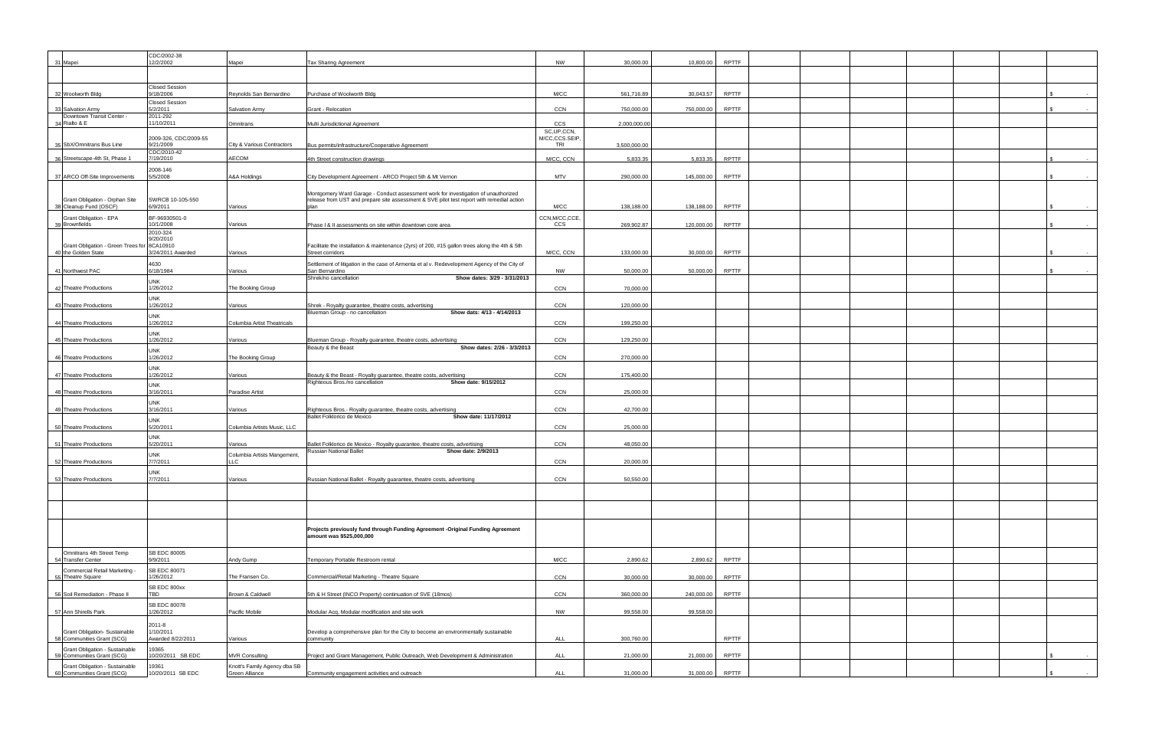|                                                              | CDC/2002-38                        |                                    |                                                                                                                               |                             |              |            |              |  |  |  |
|--------------------------------------------------------------|------------------------------------|------------------------------------|-------------------------------------------------------------------------------------------------------------------------------|-----------------------------|--------------|------------|--------------|--|--|--|
| 31 Mapei                                                     | 12/2/2002                          | Mapei                              | <b>Tax Sharing Agreement</b>                                                                                                  | <b>NW</b>                   | 30,000.00    | 10,800.00  | <b>RPTTF</b> |  |  |  |
|                                                              |                                    |                                    |                                                                                                                               |                             |              |            |              |  |  |  |
|                                                              | <b>Closed Session</b>              |                                    |                                                                                                                               |                             |              |            |              |  |  |  |
| 32 Woolworth Bldg                                            | 9/18/2006<br><b>Closed Session</b> | Reynolds San Bernardino            | Purchase of Woolworth Bldg                                                                                                    | M/CC                        | 561,716.89   | 30,043.57  | <b>RPTTF</b> |  |  |  |
| 33 Salvation Army                                            | 5/2/2011                           | Salvation Army                     | Grant - Relocation                                                                                                            | CCN                         | 750,000.00   | 750,000.00 | <b>RPTTF</b> |  |  |  |
| Downtown Transit Center -<br>34 Rialto & E                   | 2011-292<br>11/10/2011             | Omnitrans                          | Multi Jurisdictional Agreement                                                                                                | <b>CCS</b>                  | 2,000,000.00 |            |              |  |  |  |
|                                                              |                                    |                                    |                                                                                                                               | SC, UP, CCN,                |              |            |              |  |  |  |
| 35 SbX/Omnitrans Bus Line                                    | 2009-326, CDC/2009-55<br>9/21/2009 | City & Various Contractors         | Bus permits/infrastructure/Cooperative Agreement                                                                              | M/CC,CCS.SEIP<br><b>TRI</b> | 3,500,000.00 |            |              |  |  |  |
| 36 Streetscape-4th St, Phase 1                               | CDC/2010-42<br>7/19/2010           | <b>AECOM</b>                       | 4th Street construction drawings                                                                                              | M/CC, CCN                   | 5,833.35     | 5,833.35   | RPTTF        |  |  |  |
|                                                              | 2008-146                           |                                    |                                                                                                                               |                             |              |            |              |  |  |  |
| 37 ARCO Off-Site Improvements                                | 5/5/2008                           | A&A Holdings                       | City Development Agreement - ARCO Project 5th & Mt Vernon                                                                     | <b>MTV</b>                  | 290,000.00   | 145,000.00 | RPTTF        |  |  |  |
|                                                              |                                    |                                    | Montgomery Ward Garage - Conduct assessment work for investigation of unauthorized                                            |                             |              |            |              |  |  |  |
| Grant Obligation - Orphan Site                               | SWRCB 10-105-550                   |                                    | release from UST and prepare site assessment & SVE pilot test report with remedial action                                     |                             |              |            |              |  |  |  |
| 38 Cleanup Fund (OSCF)                                       | 6/9/2011                           | Various                            |                                                                                                                               | M/CC                        | 138,188.00   | 138,188.00 | RPTTF        |  |  |  |
| Grant Obligation - EPA<br>39 Brownfields                     | BF-96930501-0<br>10/1/2008         | Various                            | Phase I & II assessments on site within downtown core area                                                                    | CCN, M/CC, CCE<br>ccs       | 269,902.87   | 120,000.00 | <b>RPTTF</b> |  |  |  |
|                                                              | 2010-324<br>9/20/2010              |                                    |                                                                                                                               |                             |              |            |              |  |  |  |
| Grant Obligation - Green Trees for                           | 8CA10910                           |                                    | Facilitate the installation & maintenance (2yrs) of 200, #15 gallon trees along the 4th & 5th                                 |                             |              |            |              |  |  |  |
| 40 the Golden State                                          | 3/24/2011 Awarded                  | Various                            | Street corridors                                                                                                              | M/CC, CCN                   | 133,000.00   | 30,000.00  | <b>RPTTF</b> |  |  |  |
| 41 Northwest PAC                                             | 4630<br>6/18/1984                  | Various                            | Settlement of litigation in the case of Armenta et al v. Redevelopment Agency of the City of<br>San Bernardino                | <b>NW</b>                   | 50,000.00    | 50,000.00  | RPTTF        |  |  |  |
|                                                              | <b>UNK</b>                         |                                    | Shrek/no cancellation<br>Show dates: 3/29 - 3/31/2013                                                                         |                             |              |            |              |  |  |  |
| 42 Theatre Productions                                       | 1/26/2012                          | The Booking Group                  |                                                                                                                               | <b>CCN</b>                  | 70,000.00    |            |              |  |  |  |
| 43 Theatre Productions                                       | <b>UNK</b><br>1/26/2012            | Various                            | Shrek - Royalty guarantee, theatre costs, advertising                                                                         | CCN                         | 120,000.00   |            |              |  |  |  |
|                                                              | <b>UNK</b>                         |                                    | Blueman Group - no cancellation<br>Show dats: 4/13 - 4/14/2013                                                                |                             |              |            |              |  |  |  |
| 44 Theatre Productions                                       | 1/26/2012                          | Columbia Artist Theatricals        |                                                                                                                               | CCN                         | 199,250.00   |            |              |  |  |  |
| 45 Theatre Productions                                       | <b>UNK</b><br>1/26/2012            | Various                            | Blueman Group - Royalty guarantee, theatre costs, advertising                                                                 | CCN                         | 129,250.00   |            |              |  |  |  |
|                                                              | <b>UNK</b>                         |                                    | Show dates: 2/26 - 3/3/2013<br>Beauty & the Beast                                                                             |                             |              |            |              |  |  |  |
| 46 Theatre Productions                                       | 1/26/2012                          | The Booking Group                  |                                                                                                                               | CCN                         | 270,000.00   |            |              |  |  |  |
| 47 Theatre Productions                                       | <b>UNK</b><br>1/26/2012            |                                    |                                                                                                                               | CCN                         | 175,400.00   |            |              |  |  |  |
|                                                              | <b>UNK</b>                         | Various                            | Beauty & the Beast - Royalty guarantee, theatre costs, advertising<br>Righteous Bros./no cancellation<br>Show date: 9/15/2012 |                             |              |            |              |  |  |  |
| 48 Theatre Productions                                       | 3/16/2011                          | Paradise Artist                    |                                                                                                                               | CCN                         | 25,000.00    |            |              |  |  |  |
|                                                              | <b>UNK</b>                         |                                    |                                                                                                                               |                             |              |            |              |  |  |  |
| 49 Theatre Productions                                       | 3/16/2011<br><b>UNK</b>            | Various                            | Righteous Bros.- Royalty guarantee, theatre costs, advertising<br>Ballet Folklorico de Mexico<br>Show date: 11/17/2012        | CCN                         | 42,700.00    |            |              |  |  |  |
| 50 Theatre Productions                                       | 5/20/2011                          | Columbia Artists Music, LLC        |                                                                                                                               | CCN                         | 25,000.00    |            |              |  |  |  |
|                                                              | <b>UNK</b>                         |                                    |                                                                                                                               |                             |              |            |              |  |  |  |
| 51 Theatre Productions                                       | 5/20/2011<br><b>UNK</b>            | Various                            | Ballet Folklorico de Mexico - Royalty guarantee, theatre costs, advertising<br>Russian National Ballet<br>Show date: 2/9/2013 | <b>CCN</b>                  | 48,050.00    |            |              |  |  |  |
| 52 Theatre Productions                                       | 7/7/2011                           | Columbia Artists Mangement,<br>LLC |                                                                                                                               | CCN                         | 20.000.00    |            |              |  |  |  |
|                                                              | <b>UNK</b>                         |                                    |                                                                                                                               |                             |              |            |              |  |  |  |
| 53 Theatre Productions                                       | 7/7/2011                           | Various                            | Russian National Ballet - Royalty guarantee, theatre costs, advertising                                                       | CCN                         | 50,550.00    |            |              |  |  |  |
|                                                              |                                    |                                    |                                                                                                                               |                             |              |            |              |  |  |  |
|                                                              |                                    |                                    |                                                                                                                               |                             |              |            |              |  |  |  |
|                                                              |                                    |                                    |                                                                                                                               |                             |              |            |              |  |  |  |
|                                                              |                                    |                                    | Projects previously fund through Funding Agreement -Original Funding Agreement                                                |                             |              |            |              |  |  |  |
|                                                              |                                    |                                    | amount was \$525,000,000                                                                                                      |                             |              |            |              |  |  |  |
| Omnitrans 4th Street Temp                                    | SB EDC 80005                       |                                    |                                                                                                                               |                             |              |            |              |  |  |  |
| 54 Transfer Center                                           | 9/9/2011                           | Andy Gump                          | <b>Femporary Portable Restroom rental</b>                                                                                     | M/CC                        | 2,890.62     | 2,890.62   | <b>RPTTF</b> |  |  |  |
| Commercial Retail Marketing -<br>55 Theatre Square           | SB EDC 80071<br>1/26/2012          | The Fransen Co.                    | Commercial/Retail Marketing - Theatre Square                                                                                  | CCN                         | 30,000.00    | 30,000.00  | RPTTF        |  |  |  |
|                                                              | SB EDC 800xx                       |                                    |                                                                                                                               |                             |              |            |              |  |  |  |
| 56 Soil Remediation - Phase II                               | <b>TBD</b>                         | Brown & Caldwell                   | 5th & H Street (INCO Property) continuation of SVE (18mos)                                                                    | CCN                         | 360,000.00   | 240,000.00 | RPTTF        |  |  |  |
| 57 Ann Shirells Park                                         | SB EDC 80078<br>1/26/2012          | Pacific Mobile                     | Modular Acq, Modular modification and site work                                                                               | <b>NW</b>                   | 99,558.00    | 99,558.00  |              |  |  |  |
|                                                              | $2011 - 8$                         |                                    |                                                                                                                               |                             |              |            |              |  |  |  |
| Grant Obligation- Sustainable                                | 1/10/2011                          |                                    | Develop a comprehensive plan for the City to become an environmentally sustainable                                            |                             |              |            |              |  |  |  |
| 58 Communities Grant (SCG)                                   | Awarded 8/22/2011                  | Various                            | community                                                                                                                     | <b>ALL</b>                  | 300,760.00   |            | <b>RPTTF</b> |  |  |  |
| Grant Obligation - Sustainable<br>59 Communities Grant (SCG) | 19365<br>10/20/2011 SB EDC         | <b>MVR Consulting</b>              | Project and Grant Management, Public Outreach, Web Development & Administration                                               | <b>ALL</b>                  | 21,000.00    | 21,000.00  | RPTTF        |  |  |  |
| Grant Obligation - Sustainable                               | 19361                              | Knott's Family Agency dba SB       |                                                                                                                               |                             |              |            |              |  |  |  |
| 60 Communities Grant (SCG)                                   | 10/20/2011 SB EDC                  | Green Alliance                     | Community engagement activities and outreach                                                                                  | ALL                         | 31,000.00    | 31,000.00  | RPTTF        |  |  |  |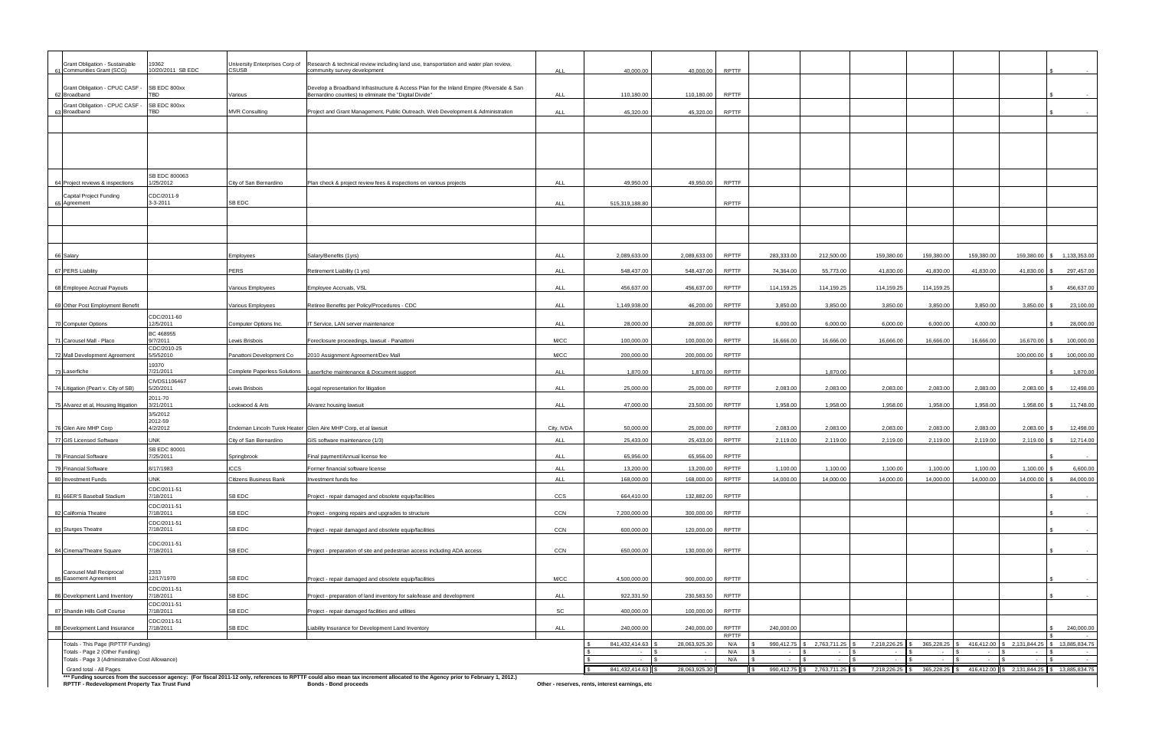| Grant Obligation - Sustainable                                             |                            |                                                |                                                                                                                                                                                |            |                                                 |               |                     |                      |              |              |                      |                      |               |                                             |
|----------------------------------------------------------------------------|----------------------------|------------------------------------------------|--------------------------------------------------------------------------------------------------------------------------------------------------------------------------------|------------|-------------------------------------------------|---------------|---------------------|----------------------|--------------|--------------|----------------------|----------------------|---------------|---------------------------------------------|
| 61 Communities Grant (SCG)                                                 | 19362<br>10/20/2011 SB EDC | University Enterprises Corp of<br><b>CSUSB</b> | Research & technical review including land use, transportation and water plan review,<br>community survey development                                                          | <b>ALL</b> | 40,000.00                                       | 40,000.00     | <b>RPTTF</b>        |                      |              |              |                      |                      |               |                                             |
| Grant Obligation - CPUC CASF                                               | SB EDC 800xx               |                                                | Develop a Broadband Infrastructure & Access Plan for the Inland Empire (Riverside & San                                                                                        |            |                                                 |               |                     |                      |              |              |                      |                      |               |                                             |
| 62 Broadband                                                               | TBD                        | Various                                        | Bernardino counties) to eliminate the "Digital Divide"                                                                                                                         | <b>ALL</b> | 110,180.00                                      | 110,180.00    | <b>RPTTF</b>        |                      |              |              |                      |                      |               |                                             |
| Grant Obligation - CPUC CASF -<br>63 Broadband                             | SB EDC 800xx<br>TBD        | <b>MVR Consulting</b>                          | Project and Grant Management, Public Outreach, Web Development & Administration                                                                                                | <b>ALL</b> | 45,320.00                                       | 45,320.00     | <b>RPTTF</b>        |                      |              |              |                      |                      |               |                                             |
|                                                                            |                            |                                                |                                                                                                                                                                                |            |                                                 |               |                     |                      |              |              |                      |                      |               |                                             |
|                                                                            |                            |                                                |                                                                                                                                                                                |            |                                                 |               |                     |                      |              |              |                      |                      |               |                                             |
|                                                                            |                            |                                                |                                                                                                                                                                                |            |                                                 |               |                     |                      |              |              |                      |                      |               |                                             |
|                                                                            |                            |                                                |                                                                                                                                                                                |            |                                                 |               |                     |                      |              |              |                      |                      |               |                                             |
| 64 Project reviews & inspections                                           | SB EDC 800063<br>1/25/2012 | City of San Bernardino                         | Plan check & project review fees & inspections on various projects                                                                                                             | <b>ALL</b> | 49.950.00                                       | 49,950.00     | <b>RPTTF</b>        |                      |              |              |                      |                      |               |                                             |
| Capital Project Funding                                                    | CDC/2011-9                 |                                                |                                                                                                                                                                                |            |                                                 |               |                     |                      |              |              |                      |                      |               |                                             |
| 65 Agreement                                                               | 3-3-2011                   | SB EDC                                         |                                                                                                                                                                                | <b>ALL</b> | 515,319,188.80                                  |               | <b>RPTTF</b>        |                      |              |              |                      |                      |               |                                             |
|                                                                            |                            |                                                |                                                                                                                                                                                |            |                                                 |               |                     |                      |              |              |                      |                      |               |                                             |
|                                                                            |                            |                                                |                                                                                                                                                                                |            |                                                 |               |                     |                      |              |              |                      |                      |               |                                             |
|                                                                            |                            |                                                |                                                                                                                                                                                |            |                                                 |               |                     |                      |              |              |                      |                      |               |                                             |
| 66 Salary                                                                  |                            | Employees                                      | Salary/Benefits (1yrs)                                                                                                                                                         | <b>ALL</b> | 2,089,633.00                                    | 2,089,633.00  | <b>RPTTF</b>        | 283.333.00           | 212,500.00   | 159,380.00   | 159,380.00           | 159,380.00           |               | 159,380.00 \$ 1,133,353.00                  |
| 67 PERS Liability                                                          |                            | <b>PERS</b>                                    | Retirement Liability (1 yrs)                                                                                                                                                   | <b>ALL</b> | 548,437.00                                      | 548,437.00    | <b>RPTTF</b>        | 74,364.00            | 55,773.00    | 41,830.00    | 41,830.00            | 41,830.00            | 41,830.00 \$  | 297,457.00                                  |
| 68 Employee Accrual Payouts                                                |                            | Various Employees                              | Employee Accruals, VSL                                                                                                                                                         | <b>ALL</b> | 456.637.00                                      | 456,637.00    | <b>RPTTF</b>        | 114,159.25           | 114,159.25   | 114,159.25   | 114,159.25           |                      |               | 456,637.00                                  |
| 69 Other Post Employment Benefit                                           |                            | Various Employees                              | Retiree Benefits per Policy/Procedures - CDC                                                                                                                                   | <b>ALL</b> | 1,149,938.00                                    | 46,200.00     | <b>RPTTF</b>        | 3,850.00             | 3,850.00     | 3,850.00     | 3,850.00             | 3,850.00             | $3,850.00$ \$ | 23,100.00                                   |
| 70 Computer Options                                                        | CDC/2011-60<br>12/5/2011   | Computer Options Inc.                          | IT Service, LAN server maintenance                                                                                                                                             | ALL        | 28,000.00                                       | 28,000.00     | <b>RPTTF</b>        | 6,000.00             | 6,000.00     | 6,000.00     | 6,000.00             | 4.000.00             |               | 28,000.00                                   |
|                                                                            | BC 468955                  |                                                |                                                                                                                                                                                |            |                                                 |               |                     |                      |              |              |                      |                      |               |                                             |
| 71 Carousel Mall - Placo                                                   | 9/7/2011<br>CDC/2010-25    | Lewis Brisbois                                 | Foreclosure proceedings, lawsuit - Panattoni                                                                                                                                   | M/CC       | 100.000.00                                      | 100,000.00    | <b>RPTTF</b>        | 16.666.00            | 16.666.00    | 16.666.00    | 16.666.00            | 16.666.00            | 16,670.00     | 100,000.00                                  |
| 72 Mall Development Agreement                                              | 5/5/52010<br>19370         | Panattoni Development Co                       | 2010 Assignment Agreement/Dev Mall                                                                                                                                             | M/CC       | 200,000.00                                      | 200,000.00    | <b>RPTTF</b>        |                      |              |              |                      |                      | 100,000.00    | 100,000.00                                  |
| 73 Laserfiche                                                              | 7/21/2011<br>CIVDS1106467  | <b>Complete Paperless Solutions</b>            | Laserfiche maintenance & Document support                                                                                                                                      | <b>ALL</b> | 1,870.00                                        | 1,870.00      | <b>RPTTF</b>        |                      | 1,870.00     |              |                      |                      |               | 1,870.00                                    |
| 74 Litigation (Peart v. City of SB)                                        | 5/20/2011                  | Lewis Brisbois                                 | egal representation for litigation                                                                                                                                             | <b>ALL</b> | 25,000.00                                       | 25,000.00     | <b>RPTTF</b>        | 2,083.00             | 2,083.00     | 2,083.00     | 2,083.00             | 2,083.00             | 2,083.00      | 12,498.00                                   |
| 75 Alvarez et al, Housing litigation                                       | 2011-70<br>3/21/2011       | Lockwood & Aris                                | Alvarez housing lawsuit                                                                                                                                                        | <b>ALL</b> | 47,000.00                                       | 23,500.00     | <b>RPTTF</b>        | 1.958.00             | 1.958.00     | 1,958.00     | 1.958.00             | 1.958.00             | 1,958.00      | 11,748.00                                   |
|                                                                            | 3/5/2012<br>2012-59        |                                                |                                                                                                                                                                                |            |                                                 |               |                     |                      |              |              |                      |                      |               |                                             |
| 76 Glen Aire MHP Corp                                                      | 4/2/2012                   |                                                | Endeman Lincoln Turek Heater Glen Aire MHP Corp. et al lawsuit                                                                                                                 | City, IVDA | 50.000.00                                       | 25,000.00     | <b>RPTTF</b>        | 2,083.00             | 2,083.00     | 2,083.00     | 2.083.00             | 2,083.00             | 2,083.00      | 12,498.00                                   |
| 77 GIS Licensed Software                                                   | <b>UNK</b><br>SB EDC 80001 | City of San Bernardino                         | GIS software maintenance (1/3)                                                                                                                                                 | <b>ALL</b> | 25,433.00                                       | 25,433.00     | <b>RPTTF</b>        | 2,119.00             | 2,119.00     | 2,119.00     | 2,119.00             | 2,119.00             | 2,119.00 \$   | 12,714.00                                   |
| 78 Financial Software                                                      | 7/25/2011                  | Springbrook                                    | Final payment/Annual license fee                                                                                                                                               | <b>ALL</b> | 65.956.00                                       | 65,956.00     | <b>RPTTF</b>        |                      |              |              |                      |                      |               |                                             |
| 79 Financial Software                                                      | 8/17/1983                  | <b>ICCS</b>                                    | Former financial software license                                                                                                                                              | <b>ALL</b> | 13,200.00                                       | 13,200.00     | <b>RPTTF</b>        | 1,100.00             | 1,100.00     | 1,100.00     | 1,100.00             | 1,100.00             | 1,100.00 \$   | 6,600.00                                    |
| 80 Investment Funds                                                        | <b>UNK</b><br>CDC/2011-51  | Citizens Business Bank                         | Investment funds fee                                                                                                                                                           | <b>ALL</b> | 168,000.00                                      | 168,000.00    | <b>RPTTF</b>        | 14,000.00            | 14,000.00    | 14,000.00    | 14,000.00            | 14,000.00            | 14,000.00     | 84,000.00                                   |
| 81 66ER'S Baseball Stadium                                                 | 7/18/2011                  | SB EDC                                         | Project - repair damaged and obsolete equip/facilities                                                                                                                         | CCS        | 664,410.00                                      | 132,882.00    | <b>RPTTF</b>        |                      |              |              |                      |                      |               |                                             |
| 82 California Theatre                                                      | CDC/2011-51<br>7/18/2011   | SB EDC                                         | Project - ongoing repairs and upgrades to structure                                                                                                                            | CCN        | 7,200,000.00                                    | 300,000.00    | <b>RPTTF</b>        |                      |              |              |                      |                      |               |                                             |
| 83 Sturges Theatre                                                         | CDC/2011-51<br>7/18/2011   | SB EDC                                         | Project - repair damaged and obsolete equip/facilities                                                                                                                         | CCN        | 600,000.00                                      | 120,000.00    | <b>RPTTF</b>        |                      |              |              |                      |                      |               |                                             |
|                                                                            | CDC/2011-51                |                                                |                                                                                                                                                                                |            |                                                 |               |                     |                      |              |              |                      |                      |               |                                             |
| 84 Cinema/Theatre Square                                                   | 7/18/2011                  | SB EDC                                         | Project - preparation of site and pedestrian access including ADA access                                                                                                       | CCN        | 650,000.00                                      | 130,000.00    | RPTTF               |                      |              |              |                      |                      |               |                                             |
| Carousel Mall Reciprocal                                                   | 2333                       |                                                |                                                                                                                                                                                |            |                                                 |               |                     |                      |              |              |                      |                      |               |                                             |
| 85 Easement Agreement                                                      | 12/17/1970                 | SB EDC                                         | Project - repair damaged and obsolete equip/facilities                                                                                                                         | M/CC       | 4,500,000.00                                    | 900,000.00    | RPTTF               |                      |              |              |                      |                      |               |                                             |
| 86 Development Land Inventory                                              | CDC/2011-51<br>7/18/2011   | SB EDC                                         | Project - preparation of land inventory for sale/lease and development                                                                                                         | ALL        | 922,331.50                                      | 230,583.50    | RPTTF               |                      |              |              |                      |                      |               |                                             |
| 87 Shandin Hills Golf Course                                               | CDC/2011-51<br>7/18/2011   | SB EDC                                         | Project - repair damaged facilities and utilities                                                                                                                              | SC         | 400,000.00                                      | 100,000.00    | <b>RPTTF</b>        |                      |              |              |                      |                      |               |                                             |
| 88 Development Land Insurance                                              | CDC/2011-51<br>7/18/2011   | SB EDC                                         | Liability Insurance for Development Land Inventory                                                                                                                             | ALL        | 240,000.00                                      | 240,000.00    | <b>RPTTF</b>        | 240,000.00           |              |              |                      |                      |               | 240,000.00                                  |
|                                                                            |                            |                                                |                                                                                                                                                                                |            |                                                 |               | <b>RPTTF</b><br>N/A |                      | 2,763,711.25 | 7,218,226.25 |                      |                      | 2,131,844.25  | 13,885,834.75                               |
| Totals - This Page (RPTTF Funding)<br>Totals - Page 2 (Other Funding)      |                            |                                                |                                                                                                                                                                                |            | 841,432,414.63                                  | 28,063,925.30 | N/A                 | 990,412.75<br>$\sim$ |              |              | 365,228.25<br>$\sim$ | 416,412.00<br>$\sim$ |               |                                             |
| Totals - Page 3 (Administrative Cost Allowance)<br>Grand total - All Pages |                            |                                                |                                                                                                                                                                                |            | 841,432,414.63                                  | 28,063,925.30 | N/A                 | 990,412.75 \$        | 2,763,711.25 | 7,218,226.25 | 365,228.25 \$        |                      |               | 416,412.00 \$ 2,131,844.25 \$ 13,885,834.75 |
|                                                                            |                            |                                                | *** Funding sources from the successor agency: (For fiscal 2011-12 only, references to RPTTF could also mean tax increment allocated to the Agency prior to February 1, 2012.) |            |                                                 |               |                     |                      |              |              |                      |                      |               |                                             |
| RPTTF - Redevelopment Property Tax Trust Fund                              |                            |                                                | <b>Bonds - Bond proceeds</b>                                                                                                                                                   |            | Other - reserves, rents, interest earnings, etc |               |                     |                      |              |              |                      |                      |               |                                             |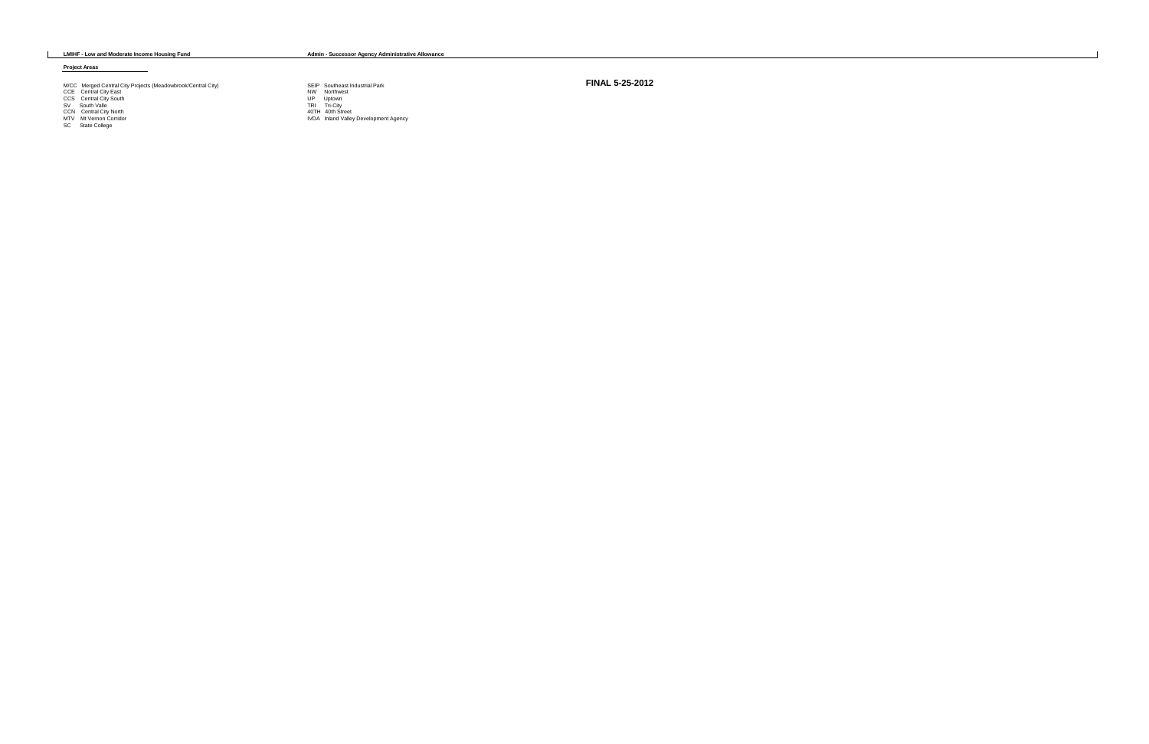**LMIHF - Low and Moderate Income Housing Fund Admin - Successor Agency Administrative Allowance**

#### **Project Areas**

# M/CC Merged Central City Projects (Meadowbrook/Central City)<br>
CCE Central City East<br>
CCS Central City South<br>
SV South Valle<br>
CCN Central City North<br>
SV South Valle<br>
CCN Central City North<br>
MIV Mt Vernon Corridor<br>
TRI Tri-C

- 
- 
- 
- 
- 
- 
- 
- 
- 

**FINAL 5-25-2012**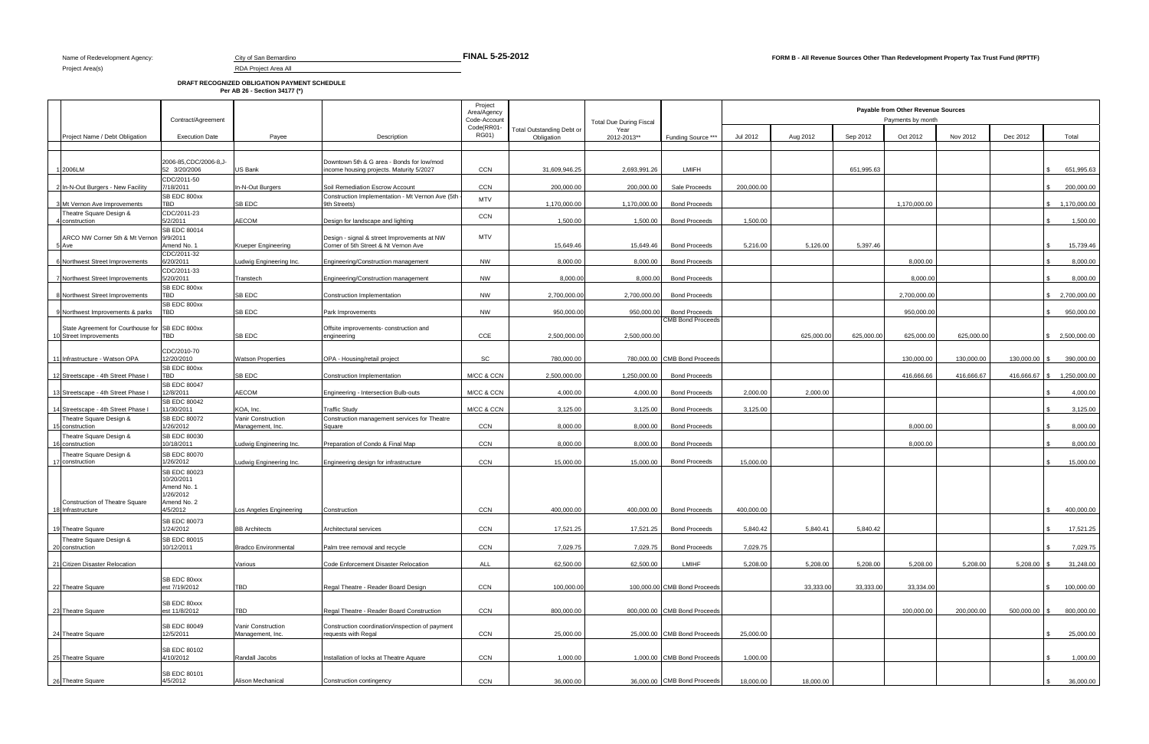## **DRAFT RECOGNIZED OBLIGATION PAYMENT SCHEDULE Per AB 26 - Section 34177 (\*)**

| Contract/Agreement                              |                                                                                                                                                                                                                                                                                                                                                         |                                                                                                                                                                                                         | Project<br>Area/Agency<br>Code-Account                                                                                                                                                                                                                                                                                                                                                                                    | <b>Total Due During Fiscal</b>                                                                                                              |                                                                                                                                                              |                                                                                                          |                                                                                                                                                                                                                                                                                                                                                                                                                                               |                                                            |                                   |                                   |                                                                                                                |                                                                |                                                 |
|-------------------------------------------------|---------------------------------------------------------------------------------------------------------------------------------------------------------------------------------------------------------------------------------------------------------------------------------------------------------------------------------------------------------|---------------------------------------------------------------------------------------------------------------------------------------------------------------------------------------------------------|---------------------------------------------------------------------------------------------------------------------------------------------------------------------------------------------------------------------------------------------------------------------------------------------------------------------------------------------------------------------------------------------------------------------------|---------------------------------------------------------------------------------------------------------------------------------------------|--------------------------------------------------------------------------------------------------------------------------------------------------------------|----------------------------------------------------------------------------------------------------------|-----------------------------------------------------------------------------------------------------------------------------------------------------------------------------------------------------------------------------------------------------------------------------------------------------------------------------------------------------------------------------------------------------------------------------------------------|------------------------------------------------------------|-----------------------------------|-----------------------------------|----------------------------------------------------------------------------------------------------------------|----------------------------------------------------------------|-------------------------------------------------|
| <b>Execution Date</b>                           | Payee                                                                                                                                                                                                                                                                                                                                                   | Description                                                                                                                                                                                             | <b>RG01)</b>                                                                                                                                                                                                                                                                                                                                                                                                              | <b>Total Outstanding Debt or</b><br>Obligation                                                                                              | Year<br>2012-2013**                                                                                                                                          | Funding Source ***                                                                                       | Jul 2012                                                                                                                                                                                                                                                                                                                                                                                                                                      | Aug 2012                                                   | Sep 2012                          | Oct 2012                          | Nov 2012                                                                                                       | Dec 2012                                                       | Total                                           |
|                                                 |                                                                                                                                                                                                                                                                                                                                                         |                                                                                                                                                                                                         |                                                                                                                                                                                                                                                                                                                                                                                                                           |                                                                                                                                             |                                                                                                                                                              |                                                                                                          |                                                                                                                                                                                                                                                                                                                                                                                                                                               |                                                            |                                   |                                   |                                                                                                                |                                                                |                                                 |
| 2006-85, CDC/2006-8, J-<br>52 3/20/2006         | US Bank                                                                                                                                                                                                                                                                                                                                                 | Downtown 5th & G area - Bonds for low/mod<br>ncome housing projects. Maturity 5/2027                                                                                                                    | <b>CCN</b>                                                                                                                                                                                                                                                                                                                                                                                                                | 31,609,946.25                                                                                                                               | 2,693,991.26                                                                                                                                                 | <b>LMIFH</b>                                                                                             |                                                                                                                                                                                                                                                                                                                                                                                                                                               |                                                            | 651,995.63                        |                                   |                                                                                                                |                                                                | 651,995.63                                      |
| CDC/2011-50                                     |                                                                                                                                                                                                                                                                                                                                                         |                                                                                                                                                                                                         |                                                                                                                                                                                                                                                                                                                                                                                                                           |                                                                                                                                             |                                                                                                                                                              |                                                                                                          |                                                                                                                                                                                                                                                                                                                                                                                                                                               |                                                            |                                   |                                   |                                                                                                                |                                                                | 200,000.00<br>$\mathbb{S}$                      |
| SB EDC 800xx                                    |                                                                                                                                                                                                                                                                                                                                                         | Construction Implementation - Mt Vernon Ave (5th                                                                                                                                                        | <b>MTV</b>                                                                                                                                                                                                                                                                                                                                                                                                                |                                                                                                                                             |                                                                                                                                                              |                                                                                                          |                                                                                                                                                                                                                                                                                                                                                                                                                                               |                                                            |                                   |                                   |                                                                                                                |                                                                | \$ 1,170,000.00                                 |
| CDC/2011-23                                     |                                                                                                                                                                                                                                                                                                                                                         |                                                                                                                                                                                                         |                                                                                                                                                                                                                                                                                                                                                                                                                           |                                                                                                                                             |                                                                                                                                                              |                                                                                                          |                                                                                                                                                                                                                                                                                                                                                                                                                                               |                                                            |                                   |                                   |                                                                                                                |                                                                |                                                 |
| SB EDC 80014                                    |                                                                                                                                                                                                                                                                                                                                                         |                                                                                                                                                                                                         |                                                                                                                                                                                                                                                                                                                                                                                                                           |                                                                                                                                             |                                                                                                                                                              |                                                                                                          |                                                                                                                                                                                                                                                                                                                                                                                                                                               |                                                            |                                   |                                   |                                                                                                                |                                                                | 1,500.00<br>\$                                  |
| ARCO NW Corner 5th & Mt Vernon 9/9/2011         |                                                                                                                                                                                                                                                                                                                                                         | Design - signal & street Improvements at NW                                                                                                                                                             |                                                                                                                                                                                                                                                                                                                                                                                                                           |                                                                                                                                             |                                                                                                                                                              | <b>Bond Proceeds</b>                                                                                     |                                                                                                                                                                                                                                                                                                                                                                                                                                               |                                                            |                                   |                                   |                                                                                                                |                                                                | 15,739.46                                       |
| CDC/2011-32                                     |                                                                                                                                                                                                                                                                                                                                                         |                                                                                                                                                                                                         |                                                                                                                                                                                                                                                                                                                                                                                                                           |                                                                                                                                             |                                                                                                                                                              |                                                                                                          |                                                                                                                                                                                                                                                                                                                                                                                                                                               |                                                            |                                   |                                   |                                                                                                                |                                                                | 8,000.00                                        |
| CDC/2011-33                                     |                                                                                                                                                                                                                                                                                                                                                         |                                                                                                                                                                                                         |                                                                                                                                                                                                                                                                                                                                                                                                                           |                                                                                                                                             |                                                                                                                                                              |                                                                                                          |                                                                                                                                                                                                                                                                                                                                                                                                                                               |                                                            |                                   |                                   |                                                                                                                |                                                                |                                                 |
|                                                 | Transtech                                                                                                                                                                                                                                                                                                                                               |                                                                                                                                                                                                         |                                                                                                                                                                                                                                                                                                                                                                                                                           |                                                                                                                                             |                                                                                                                                                              | <b>Bond Proceeds</b>                                                                                     |                                                                                                                                                                                                                                                                                                                                                                                                                                               |                                                            |                                   |                                   |                                                                                                                |                                                                | 8,000.00<br>\$                                  |
| <b>TBD</b>                                      | SB EDC                                                                                                                                                                                                                                                                                                                                                  | Construction Implementation                                                                                                                                                                             | <b>NW</b>                                                                                                                                                                                                                                                                                                                                                                                                                 | 2,700,000.00                                                                                                                                |                                                                                                                                                              | <b>Bond Proceeds</b>                                                                                     |                                                                                                                                                                                                                                                                                                                                                                                                                                               |                                                            |                                   | 2,700,000.00                      |                                                                                                                |                                                                | \$2,700,000.00                                  |
| <b>TBD</b>                                      | SB EDC                                                                                                                                                                                                                                                                                                                                                  | Park Improvements                                                                                                                                                                                       | <b>NW</b>                                                                                                                                                                                                                                                                                                                                                                                                                 | 950,000.00                                                                                                                                  |                                                                                                                                                              | <b>Bond Proceeds</b>                                                                                     |                                                                                                                                                                                                                                                                                                                                                                                                                                               |                                                            |                                   | 950,000.00                        |                                                                                                                |                                                                | 950,000.00<br>\$                                |
| State Agreement for Courthouse for SB EDC 800xx |                                                                                                                                                                                                                                                                                                                                                         | Offsite improvements- construction and                                                                                                                                                                  |                                                                                                                                                                                                                                                                                                                                                                                                                           |                                                                                                                                             |                                                                                                                                                              |                                                                                                          |                                                                                                                                                                                                                                                                                                                                                                                                                                               |                                                            |                                   |                                   |                                                                                                                |                                                                |                                                 |
| TBD                                             | SB EDC                                                                                                                                                                                                                                                                                                                                                  | engineering                                                                                                                                                                                             | CCE                                                                                                                                                                                                                                                                                                                                                                                                                       | 2,500,000.0                                                                                                                                 | 2,500,000.00                                                                                                                                                 |                                                                                                          |                                                                                                                                                                                                                                                                                                                                                                                                                                               | 625,000.00                                                 | 625,000.00                        | 625,000.00                        | 625,000.00                                                                                                     |                                                                | \$2.500.000.00                                  |
| CDC/2010-70                                     |                                                                                                                                                                                                                                                                                                                                                         |                                                                                                                                                                                                         |                                                                                                                                                                                                                                                                                                                                                                                                                           |                                                                                                                                             |                                                                                                                                                              |                                                                                                          |                                                                                                                                                                                                                                                                                                                                                                                                                                               |                                                            |                                   |                                   |                                                                                                                |                                                                | 390,000.00                                      |
| SB EDC 800xx                                    |                                                                                                                                                                                                                                                                                                                                                         |                                                                                                                                                                                                         |                                                                                                                                                                                                                                                                                                                                                                                                                           |                                                                                                                                             |                                                                                                                                                              |                                                                                                          |                                                                                                                                                                                                                                                                                                                                                                                                                                               |                                                            |                                   |                                   |                                                                                                                |                                                                |                                                 |
|                                                 |                                                                                                                                                                                                                                                                                                                                                         |                                                                                                                                                                                                         |                                                                                                                                                                                                                                                                                                                                                                                                                           |                                                                                                                                             |                                                                                                                                                              |                                                                                                          |                                                                                                                                                                                                                                                                                                                                                                                                                                               |                                                            |                                   |                                   |                                                                                                                |                                                                | 416,666.67 \$ 1,250,000.00                      |
| 12/8/2011                                       | <b>AECOM</b>                                                                                                                                                                                                                                                                                                                                            | Engineering - Intersection Bulb-outs                                                                                                                                                                    | M/CC & CCN                                                                                                                                                                                                                                                                                                                                                                                                                | 4.000.00                                                                                                                                    | 4,000.00                                                                                                                                                     | <b>Bond Proceeds</b>                                                                                     | 2.000.00                                                                                                                                                                                                                                                                                                                                                                                                                                      | 2.000.00                                                   |                                   |                                   |                                                                                                                |                                                                | 4,000.00                                        |
| 11/30/2011                                      | KOA, Inc.                                                                                                                                                                                                                                                                                                                                               | <b>Traffic Study</b>                                                                                                                                                                                    | M/CC & CCN                                                                                                                                                                                                                                                                                                                                                                                                                | 3,125.00                                                                                                                                    | 3,125.00                                                                                                                                                     | <b>Bond Proceeds</b>                                                                                     | 3,125.00                                                                                                                                                                                                                                                                                                                                                                                                                                      |                                                            |                                   |                                   |                                                                                                                |                                                                | 3,125.00                                        |
| 1/26/2012                                       | Vanir Construction<br>Management, Inc.                                                                                                                                                                                                                                                                                                                  | Construction management services for Theatre<br>Square                                                                                                                                                  | CCN                                                                                                                                                                                                                                                                                                                                                                                                                       | 8,000.00                                                                                                                                    | 8,000.00                                                                                                                                                     | <b>Bond Proceeds</b>                                                                                     |                                                                                                                                                                                                                                                                                                                                                                                                                                               |                                                            |                                   | 8.000.00                          |                                                                                                                |                                                                | 8,000.00                                        |
| SB EDC 80030                                    |                                                                                                                                                                                                                                                                                                                                                         |                                                                                                                                                                                                         |                                                                                                                                                                                                                                                                                                                                                                                                                           |                                                                                                                                             |                                                                                                                                                              |                                                                                                          |                                                                                                                                                                                                                                                                                                                                                                                                                                               |                                                            |                                   |                                   |                                                                                                                |                                                                |                                                 |
|                                                 |                                                                                                                                                                                                                                                                                                                                                         |                                                                                                                                                                                                         |                                                                                                                                                                                                                                                                                                                                                                                                                           |                                                                                                                                             |                                                                                                                                                              |                                                                                                          |                                                                                                                                                                                                                                                                                                                                                                                                                                               |                                                            |                                   |                                   |                                                                                                                |                                                                | 8,000.00                                        |
| 1/26/2012                                       | Ludwig Engineering Inc.                                                                                                                                                                                                                                                                                                                                 | Engineering design for infrastructure                                                                                                                                                                   | <b>CCN</b>                                                                                                                                                                                                                                                                                                                                                                                                                | 15,000.00                                                                                                                                   | 15,000.00                                                                                                                                                    | <b>Bond Proceeds</b>                                                                                     | 15,000.00                                                                                                                                                                                                                                                                                                                                                                                                                                     |                                                            |                                   |                                   |                                                                                                                |                                                                | 15,000.00<br>\$                                 |
| 10/20/2011                                      |                                                                                                                                                                                                                                                                                                                                                         |                                                                                                                                                                                                         |                                                                                                                                                                                                                                                                                                                                                                                                                           |                                                                                                                                             |                                                                                                                                                              |                                                                                                          |                                                                                                                                                                                                                                                                                                                                                                                                                                               |                                                            |                                   |                                   |                                                                                                                |                                                                |                                                 |
| 1/26/2012                                       |                                                                                                                                                                                                                                                                                                                                                         |                                                                                                                                                                                                         |                                                                                                                                                                                                                                                                                                                                                                                                                           |                                                                                                                                             |                                                                                                                                                              |                                                                                                          |                                                                                                                                                                                                                                                                                                                                                                                                                                               |                                                            |                                   |                                   |                                                                                                                |                                                                |                                                 |
| Amend No. 2<br>4/5/2012                         | Los Angeles Engineering                                                                                                                                                                                                                                                                                                                                 | Construction                                                                                                                                                                                            | <b>CCN</b>                                                                                                                                                                                                                                                                                                                                                                                                                | 400.000.00                                                                                                                                  |                                                                                                                                                              | <b>Bond Proceeds</b>                                                                                     | 400.000.00                                                                                                                                                                                                                                                                                                                                                                                                                                    |                                                            |                                   |                                   |                                                                                                                |                                                                | 400,000.00                                      |
| SB EDC 80073                                    |                                                                                                                                                                                                                                                                                                                                                         |                                                                                                                                                                                                         |                                                                                                                                                                                                                                                                                                                                                                                                                           |                                                                                                                                             |                                                                                                                                                              |                                                                                                          |                                                                                                                                                                                                                                                                                                                                                                                                                                               |                                                            |                                   |                                   |                                                                                                                |                                                                | \$                                              |
|                                                 |                                                                                                                                                                                                                                                                                                                                                         |                                                                                                                                                                                                         |                                                                                                                                                                                                                                                                                                                                                                                                                           |                                                                                                                                             |                                                                                                                                                              |                                                                                                          |                                                                                                                                                                                                                                                                                                                                                                                                                                               |                                                            |                                   |                                   |                                                                                                                |                                                                | 17,521.25                                       |
| 10/12/2011                                      | <b>Bradco Environmental</b>                                                                                                                                                                                                                                                                                                                             | Palm tree removal and recycle                                                                                                                                                                           | <b>CCN</b>                                                                                                                                                                                                                                                                                                                                                                                                                | 7,029.75                                                                                                                                    | 7,029.75                                                                                                                                                     | <b>Bond Proceeds</b>                                                                                     | 7,029.75                                                                                                                                                                                                                                                                                                                                                                                                                                      |                                                            |                                   |                                   |                                                                                                                |                                                                | 7,029.75                                        |
|                                                 | Various                                                                                                                                                                                                                                                                                                                                                 | Code Enforcement Disaster Relocation                                                                                                                                                                    | ALL                                                                                                                                                                                                                                                                                                                                                                                                                       | 62,500.00                                                                                                                                   | 62,500.00                                                                                                                                                    | LMIHF                                                                                                    | 5,208.00                                                                                                                                                                                                                                                                                                                                                                                                                                      | 5,208.00                                                   | 5,208.00                          | 5,208.00                          | 5,208.00                                                                                                       |                                                                | 31,248.00                                       |
| SB EDC 80xxx                                    |                                                                                                                                                                                                                                                                                                                                                         |                                                                                                                                                                                                         |                                                                                                                                                                                                                                                                                                                                                                                                                           |                                                                                                                                             |                                                                                                                                                              |                                                                                                          |                                                                                                                                                                                                                                                                                                                                                                                                                                               |                                                            |                                   |                                   |                                                                                                                |                                                                |                                                 |
|                                                 |                                                                                                                                                                                                                                                                                                                                                         |                                                                                                                                                                                                         |                                                                                                                                                                                                                                                                                                                                                                                                                           |                                                                                                                                             |                                                                                                                                                              |                                                                                                          |                                                                                                                                                                                                                                                                                                                                                                                                                                               |                                                            |                                   |                                   |                                                                                                                |                                                                | 100,000.00<br>S.                                |
| est 11/8/2012                                   | TBD                                                                                                                                                                                                                                                                                                                                                     | Regal Theatre - Reader Board Construction                                                                                                                                                               | CCN                                                                                                                                                                                                                                                                                                                                                                                                                       | 800,000.00                                                                                                                                  |                                                                                                                                                              |                                                                                                          |                                                                                                                                                                                                                                                                                                                                                                                                                                               |                                                            |                                   | 100,000.00                        | 200,000.00                                                                                                     |                                                                | 800,000.00                                      |
| SB EDC 80049                                    | Vanir Construction                                                                                                                                                                                                                                                                                                                                      | Construction coordination/inspection of payment                                                                                                                                                         |                                                                                                                                                                                                                                                                                                                                                                                                                           |                                                                                                                                             |                                                                                                                                                              |                                                                                                          |                                                                                                                                                                                                                                                                                                                                                                                                                                               |                                                            |                                   |                                   |                                                                                                                |                                                                |                                                 |
| 12/5/2011                                       | Management, Inc.                                                                                                                                                                                                                                                                                                                                        | requests with Regal                                                                                                                                                                                     |                                                                                                                                                                                                                                                                                                                                                                                                                           | 25,000.00                                                                                                                                   |                                                                                                                                                              |                                                                                                          | 25,000.00                                                                                                                                                                                                                                                                                                                                                                                                                                     |                                                            |                                   |                                   |                                                                                                                |                                                                | 25,000.00<br>\$                                 |
| SB EDC 80102                                    |                                                                                                                                                                                                                                                                                                                                                         |                                                                                                                                                                                                         |                                                                                                                                                                                                                                                                                                                                                                                                                           |                                                                                                                                             |                                                                                                                                                              |                                                                                                          |                                                                                                                                                                                                                                                                                                                                                                                                                                               |                                                            |                                   |                                   |                                                                                                                |                                                                | 1,000.00                                        |
|                                                 |                                                                                                                                                                                                                                                                                                                                                         |                                                                                                                                                                                                         |                                                                                                                                                                                                                                                                                                                                                                                                                           |                                                                                                                                             |                                                                                                                                                              |                                                                                                          |                                                                                                                                                                                                                                                                                                                                                                                                                                               |                                                            |                                   |                                   |                                                                                                                |                                                                |                                                 |
| 4/5/2012                                        | Alison Mechanical                                                                                                                                                                                                                                                                                                                                       | Construction contingency                                                                                                                                                                                | CCN                                                                                                                                                                                                                                                                                                                                                                                                                       | 36,000.00                                                                                                                                   |                                                                                                                                                              |                                                                                                          | 18,000.00                                                                                                                                                                                                                                                                                                                                                                                                                                     | 18,000.00                                                  |                                   |                                   |                                                                                                                |                                                                | \$<br>36,000.00                                 |
|                                                 | 7/18/2011<br>TBD<br>5/2/2011<br>Amend No. 1<br>6/20/2011<br>5/20/2011<br>SB EDC 800xx<br>SB EDC 800xx<br>12/20/2010<br>TBD<br><b>SB EDC 80047</b><br><b>SB EDC 80042</b><br><b>SB EDC 80072</b><br>10/18/2011<br>SB EDC 80070<br>SB EDC 80023<br>Amend No. 1<br>1/24/2012<br>SB EDC 80015<br>est 7/19/2012<br>SB EDC 80xxx<br>4/10/2012<br>SB EDC 80101 | In-N-Out Burgers<br>SB EDC<br>AECOM<br>Krueper Engineering<br>Ludwig Engineering Inc.<br><b>Watson Properties</b><br>SB EDC<br>Ludwig Engineering Inc.<br><b>BB</b> Architects<br>TBD<br>Randall Jacobs | Soil Remediation Escrow Account<br>9th Streets)<br>Design for landscape and lighting<br>Corner of 5th Street & Nt Vernon Ave<br>Engineering/Construction management<br>Engineering/Construction management<br>OPA - Housing/retail project<br>Construction Implementation<br>Preparation of Condo & Final Map<br>Architectural services<br>Regal Theatre - Reader Board Design<br>Installation of locks at Theatre Aquare | Code(RR01<br><b>CCN</b><br><b>CCN</b><br><b>MTV</b><br><b>NW</b><br><b>NW</b><br>SC<br>M/CC & CCN<br><b>CCN</b><br>CCN<br>CCN<br>CCN<br>CCN | 200,000.00<br>1,170,000.00<br>1,500.00<br>15.649.46<br>8,000.00<br>8,000.00<br>780.000.00<br>2.500.000.00<br>8.000.00<br>17,521.25<br>100,000.00<br>1,000.00 | 200,000.00<br>1,170,000.00<br>1,500.00<br>15.649.46<br>8,000.00<br>1,250,000.00<br>8,000.00<br>17,521.25 | Sale Proceeds<br><b>Bond Proceeds</b><br><b>Bond Proceeds</b><br><b>Bond Proceeds</b><br>8,000.00<br>2,700,000.00<br>950,000.00<br><b>CMB Bond Proceeds</b><br>780,000,00 CMB Bond Proceeds<br><b>Bond Proceeds</b><br><b>Bond Proceeds</b><br>400.000.00<br><b>Bond Proceeds</b><br>100,000.00 CMB Bond Proceeds<br>800,000.00 CMB Bond Proceeds<br>25,000.00 CMB Bond Proceeds<br>1,000.00 CMB Bond Proceeds<br>36,000.00 CMB Bond Proceeds | 200,000.00<br>1,500.00<br>5,216.00<br>5,840.42<br>1,000.00 | 5,126.00<br>5,840.41<br>33,333.00 | 5,397.46<br>5,840.42<br>33,333.00 | Payments by month<br>1,170,000.00<br>8,000.00<br>8,000.00<br>130.000.00<br>416.666.66<br>8.000.00<br>33,334.00 | Payable from Other Revenue Sources<br>130.000.00<br>416.666.67 | 130,000.00 \$<br>$5,208.00$ \$<br>500,000.00 \$ |

**FINAL 5-25-2012**

Project Area(s) RDA Project Area All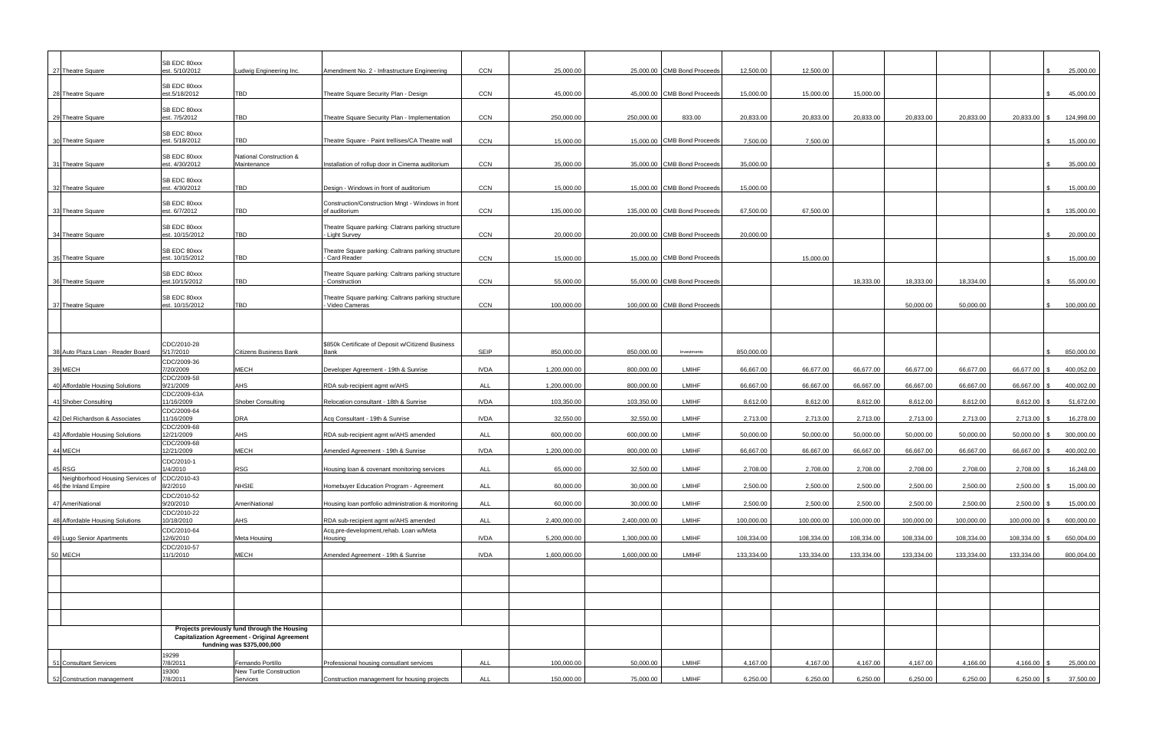| 27 Theatre Square                                                    | SB EDC 80xxx<br>est. 5/10/2012  | Ludwig Engineering Inc.                                                                                                            | Amendment No. 2 - Infrastructure Engineering                        | CCN         | 25,000.00    |              | 25,000.00 CMB Bond Proceeds  | 12,500.00  | 12,500.00  |            |            |            | ∣ \$            | 25,000.00  |
|----------------------------------------------------------------------|---------------------------------|------------------------------------------------------------------------------------------------------------------------------------|---------------------------------------------------------------------|-------------|--------------|--------------|------------------------------|------------|------------|------------|------------|------------|-----------------|------------|
|                                                                      | SB EDC 80xxx                    |                                                                                                                                    |                                                                     |             |              |              |                              |            |            |            |            |            |                 |            |
| 28 Theatre Square                                                    | est.5/18/2012                   | TBD                                                                                                                                | Theatre Square Security Plan - Design                               | CCN         | 45,000.00    |              | 45,000.00 CMB Bond Proceeds  | 15,000.00  | 15,000.00  | 15,000.00  |            |            | ∣ \$            | 45,000.00  |
| 29 Theatre Square                                                    | SB EDC 80xxx<br>est. 7/5/2012   | TBD                                                                                                                                | Theatre Square Security Plan - Implementation                       | CCN         | 250,000.00   | 250,000.00   | 833.00                       | 20,833.00  | 20,833.00  | 20,833.00  | 20,833.00  | 20,833.00  | 20,833.00 \$    | 124,998.00 |
| 30 Theatre Square                                                    | SB EDC 80xxx<br>est. 5/18/2012  | TBD                                                                                                                                | Theatre Square - Paint trellises/CA Theatre wall                    | CCN         | 15,000.00    |              | 15,000.00 CMB Bond Proceeds  | 7,500.00   | 7,500.00   |            |            |            | ∣ \$            | 15,000.00  |
| 31 Theatre Square                                                    | SB EDC 80xxx<br>est. 4/30/2012  | National Construction &<br>Maintenance                                                                                             | Installation of rollup door in Cinema auditorium                    | CCN         | 35,000.00    |              | 35,000.00 CMB Bond Proceeds  | 35,000.00  |            |            |            |            | . ድ             | 35,000.00  |
| 32 Theatre Square                                                    | SB EDC 80xxx<br>est. 4/30/2012  | TBD                                                                                                                                | Design - Windows in front of auditorium                             | CCN         | 15,000.00    |              | 15,000.00 CMB Bond Proceeds  | 15,000.00  |            |            |            |            | l \$            | 15,000.00  |
| 33 Theatre Square                                                    | SB EDC 80xxx<br>est. 6/7/2012   | TBD                                                                                                                                | Construction/Construction Mngt - Windows in front<br>of auditorium  | CCN         | 135,000.00   |              | 135,000.00 CMB Bond Proceeds | 67,500.00  | 67,500.00  |            |            |            |                 | 135,000.00 |
| 34 Theatre Square                                                    | SB EDC 80xxx<br>est. 10/15/2012 | <b>TBD</b>                                                                                                                         | Theatre Square parking: Clatrans parking structure<br>Light Survey  | CCN         | 20,000.00    |              | 20,000.00 CMB Bond Proceeds  | 20,000.00  |            |            |            |            |                 | 20,000.00  |
| 35 Theatre Square                                                    | SB EDC 80xxx<br>est. 10/15/2012 | TBD                                                                                                                                | Theatre Square parking: Caltrans parking structure<br>Card Reader   | CCN         | 15,000.00    |              | 15,000.00 CMB Bond Proceeds  |            | 15,000.00  |            |            |            | ∣\$.            | 15,000.00  |
| 36 Theatre Square                                                    | SB EDC 80xxx<br>est.10/15/2012  | TBD                                                                                                                                | Theatre Square parking: Caltrans parking structure<br>Construction  | CCN         | 55,000.00    |              | 55,000.00 CMB Bond Proceeds  |            |            | 18,333.00  | 18,333.00  | 18,334.00  |                 | 55,000.00  |
| 37 Theatre Square                                                    | SB EDC 80xxx<br>est. 10/15/2012 | TBD                                                                                                                                | Theatre Square parking: Caltrans parking structure<br>Video Cameras | CCN         | 100,000.00   |              | 100,000.00 CMB Bond Proceeds |            |            |            | 50,000.00  | 50,000.00  | ∣ \$            | 100,000.00 |
|                                                                      |                                 |                                                                                                                                    |                                                                     |             |              |              |                              |            |            |            |            |            |                 |            |
| 38 Auto Plaza Loan - Reader Board                                    | CDC/2010-28<br>5/17/2010        | <b>Citizens Business Bank</b>                                                                                                      | \$850k Certificate of Deposit w/Citizend Business<br>Bank           | SEIP        | 850,000.00   | 850,000.00   | Investments                  | 850,000.00 |            |            |            |            |                 | 850,000.00 |
| 39 MECH                                                              | CDC/2009-36<br>7/20/2009        | <b>MECH</b>                                                                                                                        | Developer Agreement - 19th & Sunrise                                | <b>IVDA</b> | 1,200,000.00 | 800,000.00   | <b>LMIHF</b>                 | 66,667.00  | 66,677.00  | 66,677.00  | 66,677.00  | 66,677.00  | 66,677.00 \$    | 400,052.00 |
| 40 Affordable Housing Solutions                                      | CDC/2009-58<br>9/21/2009        | AHS                                                                                                                                | RDA sub-recipient agmt w/AHS                                        | ALL         | 1,200,000.00 | 800,000.00   | LMIHF                        | 66,667.00  | 66,667.00  | 66,667.00  | 66,667.00  | 66,667.00  | 66,667.00 \$    | 400,002.00 |
| 41 Shober Consulting                                                 | CDC/2009-63A<br>11/16/2009      | <b>Shober Consulting</b>                                                                                                           | Relocation consultant - 18th & Sunrise                              | <b>IVDA</b> | 103,350.00   | 103,350.00   | LMIHF                        | 8,612.00   | 8,612.00   | 8,612.00   | 8,612.00   | 8,612.00   | $8,612.00$ \$   | 51,672.00  |
| 42 Del Richardson & Associates                                       | CDC/2009-64<br>11/16/2009       | <b>DRA</b>                                                                                                                         | Acq Consultant - 19th & Sunrise                                     | <b>IVDA</b> | 32,550.00    | 32,550.00    | LMIHF                        | 2,713.00   | 2,713.00   | 2,713.00   | 2,713.00   | 2,713.00   | $2,713.00$ \$   | 16,278.00  |
| 43 Affordable Housing Solutions                                      | CDC/2009-68<br>12/21/2009       | <b>AHS</b>                                                                                                                         | RDA sub-recipient agmt w/AHS amended                                | ALL         | 600,000.00   | 600,000.00   | <b>LMIHF</b>                 | 50,000.00  | 50,000.00  | 50,000.00  | 50,000.00  | 50,000.00  | $50,000.00$ \\$ | 300,000.00 |
| 44 MECH                                                              | CDC/2009-68<br>12/21/2009       | <b>MECH</b>                                                                                                                        | Amended Agreement - 19th & Sunrise                                  | <b>IVDA</b> | 1,200,000.00 | 800,000.00   | <b>LMIHF</b>                 | 66,667.00  | 66,667.00  | 66,667.00  | 66,667.00  | 66,667.00  | 66,667.00 \$    | 400,002.00 |
| 45 RSG                                                               | CDC/2010-1<br>1/4/2010          | <b>RSG</b>                                                                                                                         | Housing Ioan & covenant monitoring services                         | <b>ALL</b>  | 65,000.00    | 32,500.00    | LMIHF                        | 2,708.00   | 2,708.00   | 2,708.00   | 2,708.00   | 2,708.00   | $2,708.00$ \$   | 16,248.00  |
| Neighborhood Housing Services of CDC/2010-43<br>46 the Inland Empire | 8/2/2010                        | <b>NHSIE</b>                                                                                                                       | Homebuyer Education Program - Agreement                             | <b>ALL</b>  | 60,000.00    | 30,000.00    | LMIHF                        | 2,500.00   | 2,500.00   | 2,500.00   | 2,500.00   | 2,500.00   | $2,500.00$ \$   | 15,000.00  |
| 47 AmeriNational                                                     | CDC/2010-52<br>9/20/2010        | AmeriNational                                                                                                                      | Housing loan portfolio administration & monitoring                  | ALL         | 60,000.00    | 30,000.00    | LMIHF                        | 2,500.00   | 2,500.00   | 2,500.00   | 2,500.00   | 2,500.00   | $2,500.00$ \$   | 15,000.00  |
| 48 Affordable Housing Solutions                                      | CDC/2010-22<br>10/18/2010       | <b>AHS</b>                                                                                                                         | RDA sub-recipient agmt w/AHS amended                                | <b>ALL</b>  | 2,400,000.00 | 2,400,000.00 | LMIHF                        | 100,000.00 | 100,000.00 | 100,000.00 | 100,000.00 | 100,000.00 | 100,000.00 \$   | 600,000.00 |
| 49 Lugo Senior Apartments                                            | CDC/2010-64<br>12/6/2010        | Meta Housing                                                                                                                       | Acq,pre-development,rehab. Loan w/Meta<br>Housing                   | <b>IVDA</b> | 5,200,000.00 | 1,300,000.00 | LMIHF                        | 108,334.00 | 108,334.00 | 108,334.00 | 108,334.00 | 108,334.00 | 108,334.00 \$   | 650,004.00 |
| 50 MECH                                                              | CDC/2010-57<br>11/1/2010        | <b>MECH</b>                                                                                                                        | Amended Agreement - 19th & Sunrise                                  | <b>IVDA</b> | 1,600,000.00 | 1,600,000.00 | LMIHF                        | 133,334.00 | 133,334.00 | 133,334.00 | 133,334.00 | 133,334.00 | 133,334.00      | 800,004.00 |
|                                                                      |                                 |                                                                                                                                    |                                                                     |             |              |              |                              |            |            |            |            |            |                 |            |
|                                                                      |                                 |                                                                                                                                    |                                                                     |             |              |              |                              |            |            |            |            |            |                 |            |
|                                                                      |                                 |                                                                                                                                    |                                                                     |             |              |              |                              |            |            |            |            |            |                 |            |
|                                                                      |                                 | Projects previously fund through the Housing<br><b>Capitalization Agreement - Original Agreement</b><br>fundning was \$375,000,000 |                                                                     |             |              |              |                              |            |            |            |            |            |                 |            |
| 51 Consultant Services                                               | 19299<br>7/8/2011               | Fernando Portillo                                                                                                                  | Professional housing consutlant services                            | ALL         | 100,000.00   | 50,000.00    | LMIHF                        | 4,167.00   | 4,167.00   | 4,167.00   | 4,167.00   | 4,166.00   | $4,166.00$ \$   | 25,000.00  |
| 52 Construction management                                           | 19300<br>7/8/2011               | New Turtle Construction<br>Services                                                                                                | Construction management for housing projects                        | ALL         | 150,000.00   | 75,000.00    | LMIHF                        | 6,250.00   | 6,250.00   | 6,250.00   | 6,250.00   | 6,250.00   | $6,250.00$ \$   | 37,500.00  |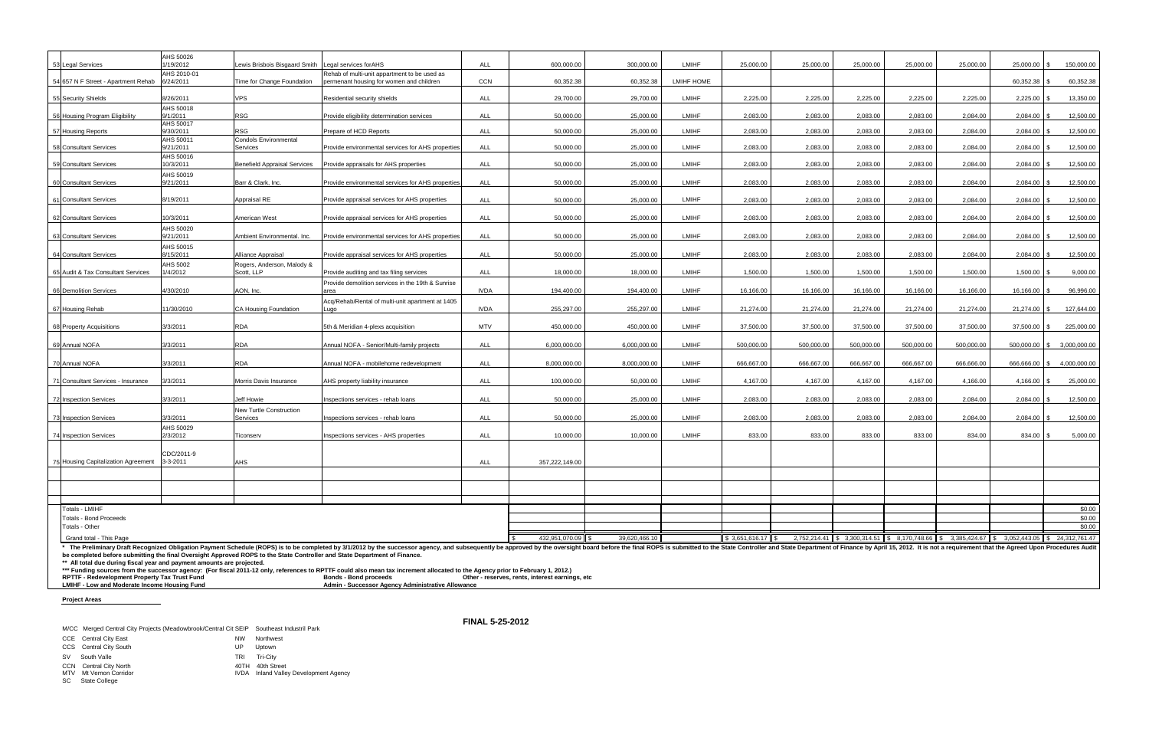| 53 Legal Services                                                                                                                                                              | AHS 50026<br>1/19/2012   | ewis Brisbois Bisgaard Smith                     | Legal services for AHS                                                                                                                                                                                                                                                                                                                                                                           | ALL         | 600.000.00                                      | 300,000.00    | <b>LMIHF</b>      | 25,000.00           | 25,000.00  | 25,000.00  | 25,000.00  | 25,000.00  | 25,000.00       | 150,000.00                                                                                         |
|--------------------------------------------------------------------------------------------------------------------------------------------------------------------------------|--------------------------|--------------------------------------------------|--------------------------------------------------------------------------------------------------------------------------------------------------------------------------------------------------------------------------------------------------------------------------------------------------------------------------------------------------------------------------------------------------|-------------|-------------------------------------------------|---------------|-------------------|---------------------|------------|------------|------------|------------|-----------------|----------------------------------------------------------------------------------------------------|
| 54 657 N F Street - Apartment Rehab                                                                                                                                            | AHS 2010-01<br>6/24/2011 | Time for Change Foundation                       | Rehab of multi-unit appartment to be used as<br>permenant housing for women and children                                                                                                                                                                                                                                                                                                         | CCN         | 60,352.38                                       | 60,352.38     | <b>LMIHF HOME</b> |                     |            |            |            |            | 60,352.38       | 60,352.38                                                                                          |
|                                                                                                                                                                                |                          |                                                  |                                                                                                                                                                                                                                                                                                                                                                                                  |             |                                                 |               |                   |                     |            |            |            |            |                 |                                                                                                    |
| 55 Security Shields                                                                                                                                                            | 8/26/2011                | <b>VPS</b>                                       | Residential security shields                                                                                                                                                                                                                                                                                                                                                                     | ALL         | 29,700.00                                       | 29,700.00     | <b>LMIHF</b>      | 2,225.00            | 2,225.00   | 2,225.00   | 2,225.00   | 2,225.00   | 2,225.00        | 13,350.00                                                                                          |
| 56 Housing Program Eligibility                                                                                                                                                 | AHS 50018<br>9/1/2011    | <b>RSG</b>                                       | Provide eligibility determination services                                                                                                                                                                                                                                                                                                                                                       | ALL         | 50,000.00                                       | 25,000.00     | <b>LMIHF</b>      | 2,083.00            | 2,083.00   | 2,083.00   | 2,083.00   | 2,084.00   | 2,084.00 \$     | 12,500.00                                                                                          |
| 57 Housing Reports                                                                                                                                                             | AHS 50017<br>9/30/2011   | RSG                                              | Prepare of HCD Reports                                                                                                                                                                                                                                                                                                                                                                           | ALL         | 50,000.00                                       | 25,000.00     | <b>LMIHF</b>      | 2,083.00            | 2,083.00   | 2,083.00   | 2,083.00   | 2,084.00   | $2,084.00$ \$   | 12,500.00                                                                                          |
| 58 Consultant Services                                                                                                                                                         | AHS 50011<br>9/21/2011   | Condols Environmental<br>Services                | Provide environmental services for AHS properties                                                                                                                                                                                                                                                                                                                                                | <b>ALL</b>  | 50.000.00                                       | 25,000.00     | LMIHF             | 2.083.00            | 2.083.00   | 2.083.00   | 2.083.00   | 2.084.00   | 2,084.00 \$     | 12,500.00                                                                                          |
|                                                                                                                                                                                | AHS 50016<br>10/3/2011   |                                                  |                                                                                                                                                                                                                                                                                                                                                                                                  | <b>ALL</b>  | 50.000.00                                       | 25,000.00     | LMIHF             | 2,083.00            | 2.083.00   | 2,083.00   | 2,083.00   | 2.084.00   |                 |                                                                                                    |
| 59 Consultant Services                                                                                                                                                         | AHS 50019                | <b>Benefield Appraisal Services</b>              | Provide appraisals for AHS properties                                                                                                                                                                                                                                                                                                                                                            |             |                                                 |               |                   |                     |            |            |            |            | 2,084.00 \$     | 12,500.00                                                                                          |
| 60 Consultant Services                                                                                                                                                         | 9/21/2011                | Barr & Clark, Inc.                               | Provide environmental services for AHS properties                                                                                                                                                                                                                                                                                                                                                | <b>ALL</b>  | 50,000.00                                       | 25,000.00     | <b>LMIHF</b>      | 2,083.00            | 2.083.00   | 2.083.00   | 2,083.00   | 2,084.00   | 2,084.00        | 12,500.00                                                                                          |
| 61 Consultant Services                                                                                                                                                         | 8/19/2011                | Appraisal RE                                     | Provide appraisal services for AHS properties                                                                                                                                                                                                                                                                                                                                                    | ALL         | 50.000.00                                       | 25,000.00     | <b>LMIHF</b>      | 2,083.00            | 2.083.00   | 2,083.00   | 2,083.00   | 2,084.00   | 2,084.00        | 12,500.00                                                                                          |
| 62 Consultant Services                                                                                                                                                         | 10/3/2011                | American West                                    | Provide appraisal services for AHS properties                                                                                                                                                                                                                                                                                                                                                    | <b>ALL</b>  | 50.000.00                                       | 25,000.00     | LMIHF             | 2,083.00            | 2.083.00   | 2.083.00   | 2.083.00   | 2.084.00   | 2,084.00 \$     | 12,500.00                                                                                          |
| 63 Consultant Services                                                                                                                                                         | AHS 50020<br>9/21/2011   | Ambient Environmental, Inc.                      | Provide environmental services for AHS properties                                                                                                                                                                                                                                                                                                                                                | <b>ALL</b>  | 50,000.00                                       | 25,000.00     | <b>LMIHF</b>      | 2,083.00            | 2.083.00   | 2,083.00   | 2,083.00   | 2,084.00   | 2,084.00        | 12,500.00                                                                                          |
|                                                                                                                                                                                | AHS 50015                |                                                  |                                                                                                                                                                                                                                                                                                                                                                                                  |             |                                                 |               |                   |                     |            |            |            |            |                 |                                                                                                    |
| 64 Consultant Services                                                                                                                                                         | 8/15/2011<br>AHS 5002    | Alliance Appraisal<br>Rogers, Anderson, Malody & | Provide appraisal services for AHS properties                                                                                                                                                                                                                                                                                                                                                    | ALL         | 50,000.00                                       | 25,000.00     | LMIHF             | 2,083.00            | 2,083.00   | 2,083.00   | 2.083.00   | 2,084.00   | $2,084.00$ \$   | 12,500.00                                                                                          |
| 65 Audit & Tax Consultant Services                                                                                                                                             | 1/4/2012                 | Scott. LLP                                       | Provide auditing and tax filing services                                                                                                                                                                                                                                                                                                                                                         | ALL         | 18,000.00                                       | 18,000.00     | <b>LMIHF</b>      | 1,500.00            | 1,500.00   | 1,500.00   | 1,500.00   | 1,500.00   | $1,500.00$ \ \$ | 9,000.00                                                                                           |
| 66 Demolition Services                                                                                                                                                         | 4/30/2010                | AON, Inc.                                        | Provide demolition services in the 19th & Sunrise<br>area                                                                                                                                                                                                                                                                                                                                        | <b>IVDA</b> | 194,400.00                                      | 194,400.00    | LMIHF             | 16,166.00           | 16,166.00  | 16,166.00  | 16,166.00  | 16,166.00  | 16,166.00 \$    | 96,996.00                                                                                          |
| 67 Housing Rehab                                                                                                                                                               | 11/30/2010               | CA Housing Foundation                            | Acq/Rehab/Rental of multi-unit apartment at 1405<br>Lugo                                                                                                                                                                                                                                                                                                                                         | <b>IVDA</b> | 255,297.00                                      | 255,297.00    | <b>LMIHF</b>      | 21,274.00           | 21,274.00  | 21,274.00  | 21,274.00  | 21,274.00  | 21,274.00 \$    | 127,644.00                                                                                         |
|                                                                                                                                                                                |                          |                                                  |                                                                                                                                                                                                                                                                                                                                                                                                  |             |                                                 |               |                   |                     |            |            |            |            |                 |                                                                                                    |
| 68 Property Acquisitions                                                                                                                                                       | 3/3/2011                 | <b>RDA</b>                                       | 5th & Meridian 4-plexs acquisition                                                                                                                                                                                                                                                                                                                                                               | <b>MTV</b>  | 450,000.00                                      | 450,000.00    | <b>LMIHF</b>      | 37,500.00           | 37,500.00  | 37,500.00  | 37,500.00  | 37,500.00  | $37,500.00$ \$  | 225,000.00                                                                                         |
| 69 Annual NOFA                                                                                                                                                                 | 3/3/2011                 | <b>RDA</b>                                       | Annual NOFA - Senior/Multi-family projects                                                                                                                                                                                                                                                                                                                                                       | ALL         | 6,000,000.00                                    | 6,000,000.00  | <b>LMIHF</b>      | 500.000.00          | 500,000.00 | 500,000.00 | 500,000.00 | 500,000.00 |                 | 500,000.00   \$ 3,000,000.00                                                                       |
| 70 Annual NOFA                                                                                                                                                                 | 3/3/2011                 | RDA                                              | Annual NOFA - mobilehome redevelopment                                                                                                                                                                                                                                                                                                                                                           | <b>ALL</b>  | 8,000,000.00                                    | 8,000,000.00  | LMIHF             | 666,667.00          | 666,667.00 | 666,667.00 | 666,667.00 | 666,666.00 | 666,666.00      | 4,000,000.00                                                                                       |
| 71 Consultant Services - Insurance                                                                                                                                             | 3/3/2011                 | Morris Davis Insurance                           | AHS property liability insurance                                                                                                                                                                                                                                                                                                                                                                 | <b>ALL</b>  | 100.000.00                                      | 50,000.00     | <b>LMIHF</b>      | 4.167.00            | 4,167.00   | 4,167.00   | 4.167.00   | 4,166.00   | $4,166.00$ \$   | 25,000.00                                                                                          |
| 72 Inspection Services                                                                                                                                                         | 3/3/2011                 | Jeff Howie                                       | Inspections services - rehab loans                                                                                                                                                                                                                                                                                                                                                               | <b>ALL</b>  | 50.000.00                                       | 25.000.00     | <b>LMIHF</b>      | 2.083.00            | 2.083.00   | 2.083.00   | 2.083.00   | 2.084.00   | 2,084.00        | 12,500.00                                                                                          |
|                                                                                                                                                                                |                          | New Turtle Construction                          |                                                                                                                                                                                                                                                                                                                                                                                                  |             |                                                 |               |                   |                     |            |            |            |            |                 |                                                                                                    |
| 73 Inspection Services                                                                                                                                                         | 3/3/2011                 | Services                                         | Inspections services - rehab loans                                                                                                                                                                                                                                                                                                                                                               | <b>ALL</b>  | 50,000.00                                       | 25,000.00     | LMIHF             | 2,083.00            | 2,083.00   | 2,083.00   | 2,083.00   | 2,084.00   | $2,084.00$ \$   | 12,500.00                                                                                          |
| 74 Inspection Services                                                                                                                                                         | AHS 50029<br>2/3/2012    | Ticonserv                                        | Inspections services - AHS properties                                                                                                                                                                                                                                                                                                                                                            | ALL         | 10.000.00                                       | 10.000.00     | LMIHF             | 833.00              | 833.00     | 833.00     | 833.00     | 834.00     | 834.00 \$       | 5,000.00                                                                                           |
|                                                                                                                                                                                | CDC/2011-9               |                                                  |                                                                                                                                                                                                                                                                                                                                                                                                  |             |                                                 |               |                   |                     |            |            |            |            |                 |                                                                                                    |
| 75 Housing Capitalization Agreement                                                                                                                                            | $3 - 3 - 2011$           | <b>AHS</b>                                       |                                                                                                                                                                                                                                                                                                                                                                                                  | <b>ALL</b>  | 357,222,149.00                                  |               |                   |                     |            |            |            |            |                 |                                                                                                    |
|                                                                                                                                                                                |                          |                                                  |                                                                                                                                                                                                                                                                                                                                                                                                  |             |                                                 |               |                   |                     |            |            |            |            |                 |                                                                                                    |
|                                                                                                                                                                                |                          |                                                  |                                                                                                                                                                                                                                                                                                                                                                                                  |             |                                                 |               |                   |                     |            |            |            |            |                 |                                                                                                    |
| Totals - LMIHF                                                                                                                                                                 |                          |                                                  |                                                                                                                                                                                                                                                                                                                                                                                                  |             |                                                 |               |                   |                     |            |            |            |            |                 | \$0.00                                                                                             |
| <b>Totals - Bond Proceeds</b><br>Totals - Other                                                                                                                                |                          |                                                  |                                                                                                                                                                                                                                                                                                                                                                                                  |             |                                                 |               |                   |                     |            |            |            |            |                 | \$0.00<br>\$0.00                                                                                   |
| Grand total - This Page                                                                                                                                                        |                          |                                                  |                                                                                                                                                                                                                                                                                                                                                                                                  |             | 432,951,070.09 \$                               | 39,620,466.10 |                   | $$3,651,616.17$ \\$ |            |            |            |            |                 | 2.752.214.41 \\$ 3.300.314.51 \\$ 8.170.748.66 \\$ 3.385.424.67 \\$ 3.052.443.05 \\$ 24.312.761.47 |
|                                                                                                                                                                                |                          |                                                  | * The Preliminary Draft Recognized Obligation Payment Schedule (ROPS) is to be completed by 3/1/2012 by the successor agency, and subsequently be approved by the oversight board before the final ROPS is submitted to the St                                                                                                                                                                   |             |                                                 |               |                   |                     |            |            |            |            |                 |                                                                                                    |
| ** All total due during fiscal year and payment amounts are projected.<br>RPTTF - Redevelopment Property Tax Trust Fund<br><b>LMIHE</b> - Low and Moderate Income Housing Fund |                          |                                                  | be completed before submitting the final Oversight Approved ROPS to the State Controller and State Department of Finance.<br>*** Funding sources from the successor agency: (For fiscal 2011-12 only, references to RPTTF could also mean tax increment allocated to the Agency prior to February 1, 2012.)<br><b>Bonds - Bond proceeds</b><br>Admin - Successor Agency Administrative Allowance |             | Other - reserves, rents, interest earnings, etc |               |                   |                     |            |            |            |            |                 |                                                                                                    |

**LMIHF - Low and Moderate Income Housing Fund Admin - Successor Agency Administrative Allowance**

**Project Areas**

M/CC Merged Central City Projects (Meadowbrook/Central Cit SEIP Southeast Industril Park

|           | CCE Central City East  | <b>NW</b> | Northwest |
|-----------|------------------------|-----------|-----------|
|           | CCS Central City South | UP.       | Uptown    |
| <b>SV</b> | South Valle            | TRI       | Tri-Citv  |

- CCN Central City North 40TH 40th Street
- 
- SC State College

Metal Metal<br>1999 - Alection Corridor IVDA<br>IVDA Inland Valley Development Agency

**FINAL 5-25-2012**